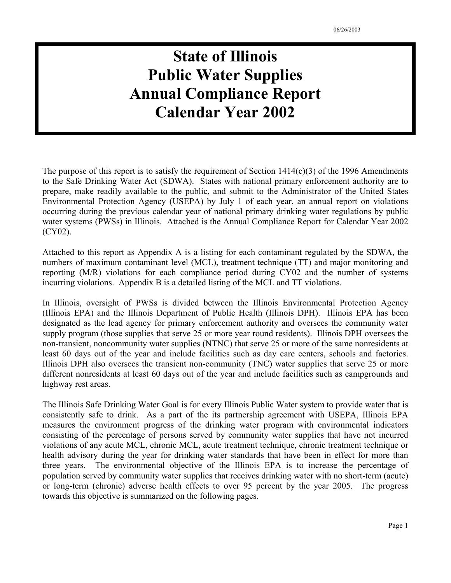# **State of Illinois Public Water Supplies Annual Compliance Report Calendar Year 2002**

The purpose of this report is to satisfy the requirement of Section  $1414(c)(3)$  of the 1996 Amendments to the Safe Drinking Water Act (SDWA). States with national primary enforcement authority are to prepare, make readily available to the public, and submit to the Administrator of the United States Environmental Protection Agency (USEPA) by July 1 of each year, an annual report on violations occurring during the previous calendar year of national primary drinking water regulations by public water systems (PWSs) in Illinois. Attached is the Annual Compliance Report for Calendar Year 2002 (CY02).

Attached to this report as Appendix A is a listing for each contaminant regulated by the SDWA, the numbers of maximum contaminant level (MCL), treatment technique (TT) and major monitoring and reporting (M/R) violations for each compliance period during CY02 and the number of systems incurring violations. Appendix B is a detailed listing of the MCL and TT violations.

In Illinois, oversight of PWSs is divided between the Illinois Environmental Protection Agency (Illinois EPA) and the Illinois Department of Public Health (Illinois DPH). Illinois EPA has been designated as the lead agency for primary enforcement authority and oversees the community water supply program (those supplies that serve 25 or more year round residents). Illinois DPH oversees the non-transient, noncommunity water supplies (NTNC) that serve 25 or more of the same nonresidents at least 60 days out of the year and include facilities such as day care centers, schools and factories. Illinois DPH also oversees the transient non-community (TNC) water supplies that serve 25 or more different nonresidents at least 60 days out of the year and include facilities such as campgrounds and highway rest areas.

The Illinois Safe Drinking Water Goal is for every Illinois Public Water system to provide water that is consistently safe to drink. As a part of the its partnership agreement with USEPA, Illinois EPA measures the environment progress of the drinking water program with environmental indicators consisting of the percentage of persons served by community water supplies that have not incurred violations of any acute MCL, chronic MCL, acute treatment technique, chronic treatment technique or health advisory during the year for drinking water standards that have been in effect for more than three years. The environmental objective of the Illinois EPA is to increase the percentage of population served by community water supplies that receives drinking water with no short-term (acute) or long-term (chronic) adverse health effects to over 95 percent by the year 2005. The progress towards this objective is summarized on the following pages.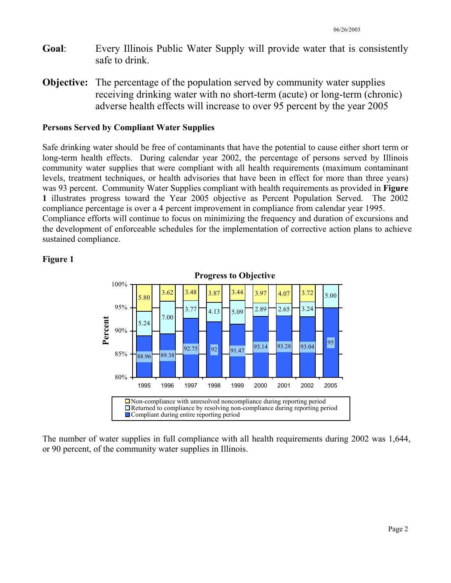- **Goal**: Every Illinois Public Water Supply will provide water that is consistently safe to drink.
- **Objective:** The percentage of the population served by community water supplies receiving drinking water with no short-term (acute) or long-term (chronic) adverse health effects will increase to over 95 percent by the year 2005

#### **Persons Served by Compliant Water Supplies**

Safe drinking water should be free of contaminants that have the potential to cause either short term or long-term health effects. During calendar year 2002, the percentage of persons served by Illinois community water supplies that were compliant with all health requirements (maximum contaminant levels, treatment techniques, or health advisories that have been in effect for more than three years) was 93 percent. Community Water Supplies compliant with health requirements as provided in **Figure 1** illustrates progress toward the Year 2005 objective as Percent Population Served. The 2002 compliance percentage is over a 4 percent improvement in compliance from calendar year 1995. Compliance efforts will continue to focus on minimizing the frequency and duration of excursions and the development of enforceable schedules for the implementation of corrective action plans to achieve sustained compliance.



#### **Figure 1**

The number of water supplies in full compliance with all health requirements during 2002 was 1,644, or 90 percent, of the community water supplies in Illinois.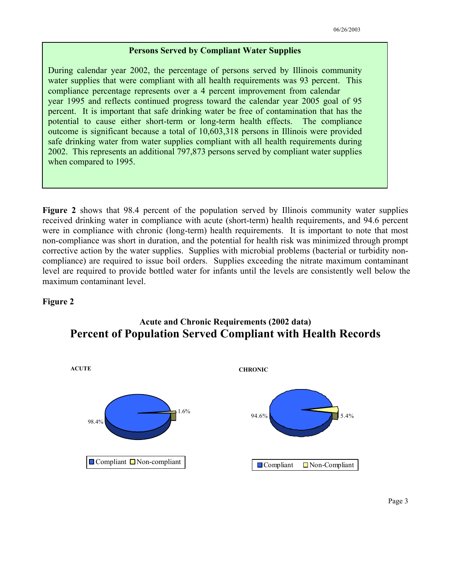#### **Persons Served by Compliant Water Supplies**

During calendar year 2002, the percentage of persons served by Illinois community water supplies that were compliant with all health requirements was 93 percent. This compliance percentage represents over a 4 percent improvement from calendar year 1995 and reflects continued progress toward the calendar year 2005 goal of 95 percent. It is important that safe drinking water be free of contamination that has the potential to cause either short-term or long-term health effects. The compliance outcome is significant because a total of 10,603,318 persons in Illinois were provided safe drinking water from water supplies compliant with all health requirements during 2002. This represents an additional 797,873 persons served by compliant water supplies when compared to 1995.

**Figure 2** shows that 98.4 percent of the population served by Illinois community water supplies received drinking water in compliance with acute (short-term) health requirements, and 94.6 percent were in compliance with chronic (long-term) health requirements. It is important to note that most non-compliance was short in duration, and the potential for health risk was minimized through prompt corrective action by the water supplies. Supplies with microbial problems (bacterial or turbidity noncompliance) are required to issue boil orders. Supplies exceeding the nitrate maximum contaminant level are required to provide bottled water for infants until the levels are consistently well below the maximum contaminant level.

#### **Figure 2**



#### **Acute and Chronic Requirements (2002 data) Percent of Population Served Compliant with Health Records**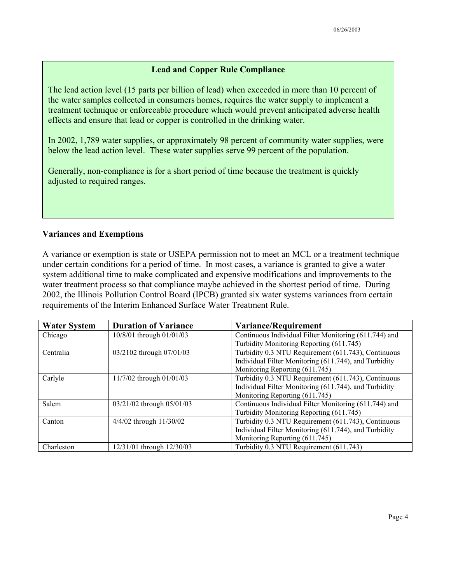#### **Lead and Copper Rule Compliance**

The lead action level (15 parts per billion of lead) when exceeded in more than 10 percent of the water samples collected in consumers homes, requires the water supply to implement a treatment technique or enforceable procedure which would prevent anticipated adverse health effects and ensure that lead or copper is controlled in the drinking water.

In 2002, 1,789 water supplies, or approximately 98 percent of community water supplies, were below the lead action level. These water supplies serve 99 percent of the population.

Generally, non-compliance is for a short period of time because the treatment is quickly adjusted to required ranges.

#### **Variances and Exemptions**

A variance or exemption is state or USEPA permission not to meet an MCL or a treatment technique under certain conditions for a period of time. In most cases, a variance is granted to give a water system additional time to make complicated and expensive modifications and improvements to the water treatment process so that compliance maybe achieved in the shortest period of time. During 2002, the Illinois Pollution Control Board (IPCB) granted six water systems variances from certain requirements of the Interim Enhanced Surface Water Treatment Rule.

| <b>Water System</b> | <b>Duration of Variance</b> | Variance/Requirement                                  |
|---------------------|-----------------------------|-------------------------------------------------------|
| Chicago             | 10/8/01 through 01/01/03    | Continuous Individual Filter Monitoring (611.744) and |
|                     |                             | Turbidity Monitoring Reporting (611.745)              |
| Centralia           | 03/2102 through 07/01/03    | Turbidity 0.3 NTU Requirement (611.743), Continuous   |
|                     |                             | Individual Filter Monitoring (611.744), and Turbidity |
|                     |                             | Monitoring Reporting (611.745)                        |
| Carlyle             | 11/7/02 through 01/01/03    | Turbidity 0.3 NTU Requirement (611.743), Continuous   |
|                     |                             | Individual Filter Monitoring (611.744), and Turbidity |
|                     |                             | Monitoring Reporting (611.745)                        |
| Salem               | 03/21/02 through 05/01/03   | Continuous Individual Filter Monitoring (611.744) and |
|                     |                             | Turbidity Monitoring Reporting (611.745)              |
| Canton              | 4/4/02 through 11/30/02     | Turbidity 0.3 NTU Requirement (611.743), Continuous   |
|                     |                             | Individual Filter Monitoring (611.744), and Turbidity |
|                     |                             | Monitoring Reporting (611.745)                        |
| Charleston          | 12/31/01 through 12/30/03   | Turbidity 0.3 NTU Requirement (611.743)               |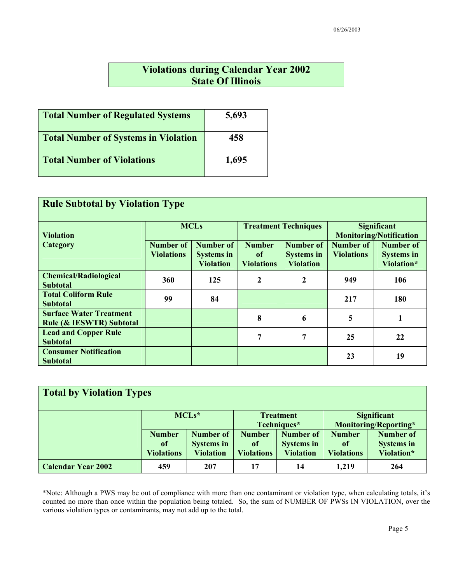### **Violations during Calendar Year 2002 State Of Illinois**

| <b>Total Number of Regulated Systems</b>    | 5,693 |
|---------------------------------------------|-------|
| <b>Total Number of Systems in Violation</b> | 458   |
| <b>Total Number of Violations</b>           | 1,695 |

| <b>Rule Subtotal by Violation Type</b>                                |                                       |                                                    |                                          |                                                           |                                                      |                                                     |  |  |  |
|-----------------------------------------------------------------------|---------------------------------------|----------------------------------------------------|------------------------------------------|-----------------------------------------------------------|------------------------------------------------------|-----------------------------------------------------|--|--|--|
| <b>Violation</b>                                                      |                                       | <b>MCLs</b>                                        |                                          | <b>Treatment Techniques</b>                               | <b>Significant</b><br><b>Monitoring/Notification</b> |                                                     |  |  |  |
| Category                                                              | <b>Number of</b><br><b>Violations</b> | Number of<br><b>Systems in</b><br><b>Violation</b> | <b>Number</b><br>of<br><b>Violations</b> | <b>Number of</b><br><b>Systems in</b><br><b>Violation</b> | Number of<br><b>Violations</b>                       | <b>Number of</b><br><b>Systems in</b><br>Violation* |  |  |  |
| <b>Chemical/Radiological</b><br><b>Subtotal</b>                       | 360                                   | 125                                                | $\boldsymbol{2}$                         | $\mathbf{2}$                                              | 949                                                  | 106                                                 |  |  |  |
| <b>Total Coliform Rule</b><br><b>Subtotal</b>                         | 99                                    | 84                                                 |                                          |                                                           | 217                                                  | <b>180</b>                                          |  |  |  |
| <b>Surface Water Treatment</b><br><b>Rule (&amp; IESWTR) Subtotal</b> |                                       |                                                    | 8                                        | 6                                                         | 5                                                    | 1                                                   |  |  |  |
| <b>Lead and Copper Rule</b><br><b>Subtotal</b>                        |                                       |                                                    | 7                                        | 7                                                         | 25                                                   | 22                                                  |  |  |  |
| <b>Consumer Notification</b><br><b>Subtotal</b>                       |                                       |                                                    |                                          |                                                           | 23                                                   | 19                                                  |  |  |  |

| <b>Total by Violation Types</b> |                   |                   |                   |                   |                       |                   |  |  |  |
|---------------------------------|-------------------|-------------------|-------------------|-------------------|-----------------------|-------------------|--|--|--|
|                                 |                   | MCLs*             |                   | <b>Treatment</b>  | <b>Significant</b>    |                   |  |  |  |
|                                 |                   |                   |                   | Techniques*       | Monitoring/Reporting* |                   |  |  |  |
|                                 | <b>Number</b>     | <b>Number of</b>  | <b>Number</b>     | <b>Number</b> of  | <b>Number</b>         | <b>Number of</b>  |  |  |  |
|                                 | of                | <b>Systems in</b> | of                | <b>Systems in</b> | of                    | <b>Systems in</b> |  |  |  |
|                                 | <b>Violations</b> | <b>Violation</b>  | <b>Violations</b> | <b>Violation</b>  | <b>Violations</b>     | Violation*        |  |  |  |
| <b>Calendar Year 2002</b>       | 459               | 207               | 17                | 14                | 1,219                 | 264               |  |  |  |

\*Note: Although a PWS may be out of compliance with more than one contaminant or violation type, when calculating totals, it's counted no more than once within the population being totaled. So, the sum of NUMBER OF PWSs IN VIOLATION, over the various violation types or contaminants, may not add up to the total.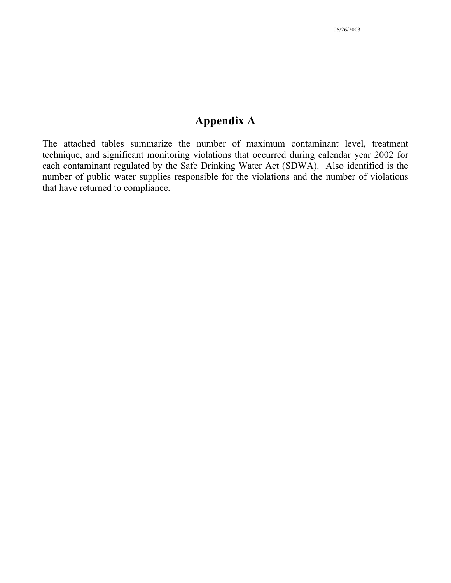### **Appendix A**

The attached tables summarize the number of maximum contaminant level, treatment technique, and significant monitoring violations that occurred during calendar year 2002 for each contaminant regulated by the Safe Drinking Water Act (SDWA). Also identified is the number of public water supplies responsible for the violations and the number of violations that have returned to compliance.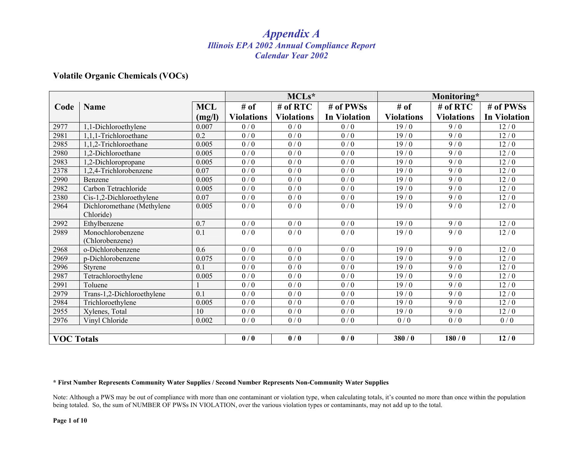#### **Volatile Organic Chemicals (VOCs)**

|                   |                            |                  |                   | $MCLs*$           |                     | Monitoring*       |                   |                     |
|-------------------|----------------------------|------------------|-------------------|-------------------|---------------------|-------------------|-------------------|---------------------|
| Code              | <b>Name</b>                | <b>MCL</b>       | # of              | # of RTC          | # of PWSs           | # of              | # of RTC          | # of PWSs           |
|                   |                            | (mg/l)           | <b>Violations</b> | <b>Violations</b> | <b>In Violation</b> | <b>Violations</b> | <b>Violations</b> | <b>In Violation</b> |
| 2977              | 1,1-Dichloroethylene       | 0.007            | 0/0               | 0/0               | 0/0                 | 19/0              | 9/0               | 12/0                |
| 2981              | 1,1,1-Trichloroethane      | 0.2              | 0/0               | 0/0               | 0/0                 | 19/0              | 9/0               | 12/0                |
| 2985              | 1,1,2-Trichloroethane      | 0.005            | 0/0               | 0/0               | 0/0                 | 19/0              | 9/0               | 12/0                |
| 2980              | 1,2-Dichloroethane         | 0.005            | 0/0               | 0/0               | 0/0                 | 19/0              | 9/0               | 12/0                |
| 2983              | 1,2-Dichloropropane        | 0.005            | 0/0               | 0/0               | 0/0                 | 19/0              | 9/0               | 12/0                |
| 2378              | 1,2,4-Trichlorobenzene     | 0.07             | 0/0               | 0/0               | 0/0                 | 19/0              | 9/0               | 12/0                |
| 2990              | Benzene                    | 0.005            | 0/0               | 0/0               | 0/0                 | 19/0              | 9/0               | 12/0                |
| 2982              | Carbon Tetrachloride       | 0.005            | 0/0               | 0/0               | 0/0                 | 19/0              | 9/0               | 12/0                |
| 2380              | Cis-1,2-Dichloroethylene   | 0.07             | 0/0               | 0/0               | 0/0                 | 19/0              | 9/0               | 12/0                |
| 2964              | Dichloromethane (Methylene | 0.005            | 0/0               | 0/0               | 0/0                 | 19/0              | 9/0               | 12/0                |
|                   | Chloride)                  |                  |                   |                   |                     |                   |                   |                     |
| 2992              | Ethylbenzene               | 0.7              | $0\mathbin{/}0$   | 0/0               | 0/0                 | 19/0              | 9/0               | 12/0                |
| 2989              | Monochlorobenzene          | 0.1              | 0/0               | 0/0               | 0/0                 | 19/0              | 9/0               | 12/0                |
|                   | (Chlorobenzene)            |                  |                   |                   |                     |                   |                   |                     |
| 2968              | o-Dichlorobenzene          | 0.6              | 0/0               | 0/0               | 0/0                 | 19/0              | 9/0               | 12/0                |
| 2969              | p-Dichlorobenzene          | 0.075            | 0/0               | $0/0$             | 0/0                 | 19/0              | 9/0               | 12/0                |
| 2996              | Styrene                    | 0.1              | 0/0               | $\overline{0/0}$  | $\overline{0/0}$    | 19/0              | 9/0               | 12/0                |
| 2987              | Tetrachloroethylene        | 0.005            | 0/0               | 0/0               | 0/0                 | 19/0              | 9/0               | 12/0                |
| 2991              | Toluene                    |                  | 0/0               | 0/0               | 0/0                 | 19/0              | 9/0               | 12/0                |
| 2979              | Trans-1,2-Dichloroethylene | $\overline{0.1}$ | $\overline{0/0}$  | $\overline{0/0}$  | $\overline{0/0}$    | 19/0              | $\overline{9/0}$  | 12/0                |
| 2984              | Trichloroethylene          | 0.005            | 0/0               | 0/0               | 0/0                 | 19/0              | 9/0               | 12/0                |
| 2955              | Xylenes, Total             | 10               | 0/0               | 0/0               | 0/0                 | 19/0              | 9/0               | 12/0                |
| 2976              | Vinyl Chloride             | 0.002            | 0/0               | 0/0               | 0/0                 | 0/0               | 0/0               | 0/0                 |
|                   |                            |                  |                   |                   |                     |                   |                   |                     |
| <b>VOC Totals</b> |                            |                  | 0/0               | 0/0               | 0/0                 | 380/0             | 180/0             | 12/0                |

#### **\* First Number Represents Community Water Supplies / Second Number Represents Non-Community Water Supplies**

Note: Although a PWS may be out of compliance with more than one contaminant or violation type, when calculating totals, it's counted no more than once within the population being totaled. So, the sum of NUMBER OF PWSs IN VIOLATION, over the various violation types or contaminants, may not add up to the total.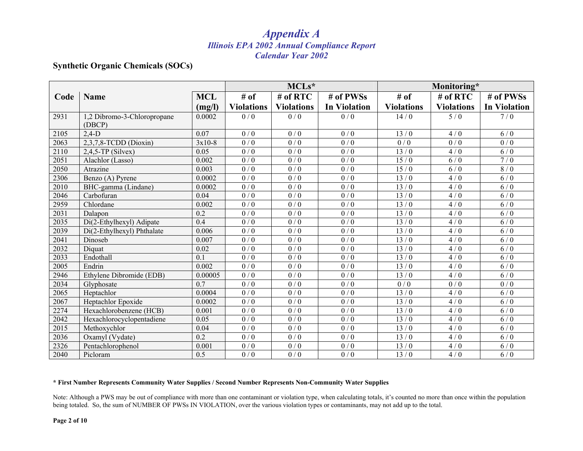#### **Synthetic Organic Chemicals (SOCs)**

|      |                             |                  |                   | MCLs*             |                     |                   | Monitoring*       |                     |  |
|------|-----------------------------|------------------|-------------------|-------------------|---------------------|-------------------|-------------------|---------------------|--|
| Code | <b>Name</b>                 | <b>MCL</b>       | # of              | $#$ of RTC        | # of PWSs           | # of              | # of RTC          | # of PWSs           |  |
|      |                             | (mg/l)           | <b>Violations</b> | <b>Violations</b> | <b>In Violation</b> | <b>Violations</b> | <b>Violations</b> | <b>In Violation</b> |  |
| 2931 | 1,2 Dibromo-3-Chloropropane | 0.0002           | 0/0               | 0/0               | 0/0                 | 14/0              | 5/0               | 7/0                 |  |
|      | (DBCP)                      |                  |                   |                   |                     |                   |                   |                     |  |
| 2105 | $2,4-D$                     | 0.07             | 0/0               | 0/0               | 0/0                 | 13/0              | 4/0               | 6/0                 |  |
| 2063 | 2,3,7,8-TCDD (Dioxin)       | $3x10-8$         | 0/0               | $\overline{0/0}$  | 0/0                 | 0/0               | 0/0               | 0/0                 |  |
| 2110 | $2,4,5$ -TP (Silvex)        | 0.05             | $\overline{0/0}$  | $\overline{0/0}$  | $\overline{0/0}$    | 13/0              | 4/0               | $\overline{6/0}$    |  |
| 2051 | Alachlor (Lasso)            | 0.002            | 0/0               | 0/0               | 0/0                 | 15/0              | 6/0               | 7/0                 |  |
| 2050 | Atrazine                    | 0.003            | 0/0               | $\overline{0/0}$  | $\overline{0/0}$    | 15/0              | 6/0               | 8/0                 |  |
| 2306 | Benzo (A) Pyrene            | 0.0002           | 0/0               | 0/0               | 0/0                 | 13/0              | 4/0               | 6/0                 |  |
| 2010 | BHC-gamma (Lindane)         | 0.0002           | $\overline{0/0}$  | $\overline{0/0}$  | $\overline{0/0}$    | 13/0              | 4/0               | $\overline{6/0}$    |  |
| 2046 | Carbofuran                  | 0.04             | 0/0               | 0/0               | 0/0                 | 13/0              | 4/0               | 6/0                 |  |
| 2959 | Chlordane                   | 0.002            | 0/0               | 0/0               | $\overline{0/0}$    | $\overline{13/0}$ | 4/0               | 6/0                 |  |
| 2031 | Dalapon                     | 0.2              | 0/0               | 0/0               | 0/0                 | 13/0              | 4/0               | 6/0                 |  |
| 2035 | Di(2-Ethylhexyl) Adipate    | $\overline{0.4}$ | $\overline{0/0}$  | $\overline{0/0}$  | $\overline{0/0}$    | 13/0              | 4/0               | $\overline{6/0}$    |  |
| 2039 | Di(2-Ethylhexyl) Phthalate  | 0.006            | 0/0               | 0/0               | 0/0                 | 13/0              | 4/0               | 6/0                 |  |
| 2041 | Dinoseb                     | 0.007            | 0/0               | 0/0               | 0/0                 | 13/0              | 4/0               | $6/0$               |  |
| 2032 | Diquat                      | 0.02             | 0/0               | 0/0               | 0/0                 | 13/0              | 4/0               | 6/0                 |  |
| 2033 | Endothall                   | 0.1              | 0/0               | $\overline{0/0}$  | 0/0                 | 13/0              | 4/0               | 6/0                 |  |
| 2005 | Endrin                      | 0.002            | 0/0               | 0/0               | 0/0                 | 13/0              | 4/0               | 6/0                 |  |
| 2946 | Ethylene Dibromide (EDB)    | 0.00005          | 0/0               | 0/0               | 0/0                 | 13/0              | 4/0               | 6/0                 |  |
| 2034 | Glyphosate                  | 0.7              | 0/0               | 0/0               | 0/0                 | 0/0               | 0/0               | 0/0                 |  |
| 2065 | Heptachlor                  | 0.0004           | $\overline{0/0}$  | $\overline{0/0}$  | 0/0                 | 13/0              | 4/0               | 6/0                 |  |
| 2067 | Heptachlor Epoxide          | 0.0002           | 0/0               | 0/0               | 0/0                 | 13/0              | 4/0               | 6/0                 |  |
| 2274 | Hexachlorobenzene (HCB)     | 0.001            | 0/0               | 0/0               | 0/0                 | 13/0              | 4/0               | 6/0                 |  |
| 2042 | Hexachlorocyclopentadiene   | 0.05             | 0/0               | 0/0               | 0/0                 | 13/0              | 4/0               | 6/0                 |  |
| 2015 | Methoxychlor                | 0.04             | 0/0               | 0/0               | 0/0                 | 13/0              | 4/0               | 6/0                 |  |
| 2036 | Oxamyl (Vydate)             | 0.2              | 0/0               | 0/0               | 0/0                 | 13/0              | 4/0               | 6/0                 |  |
| 2326 | Pentachlorophenol           | 0.001            | 0/0               | 0/0               | 0/0                 | 13/0              | 4/0               | 6/0                 |  |
| 2040 | Picloram                    | 0.5              | 0/0               | 0/0               | 0/0                 | 13/0              | 4/0               | 6/0                 |  |

#### **\* First Number Represents Community Water Supplies / Second Number Represents Non-Community Water Supplies**

Note: Although a PWS may be out of compliance with more than one contaminant or violation type, when calculating totals, it's counted no more than once within the population being totaled. So, the sum of NUMBER OF PWSs IN VIOLATION, over the various violation types or contaminants, may not add up to the total.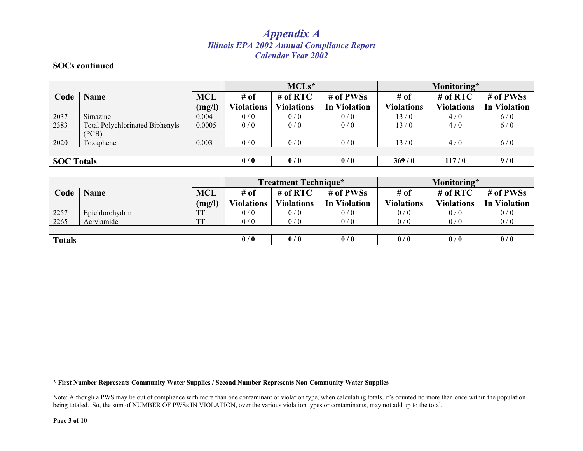#### **SOCs continued**

|                   |                                        |            |                   | $MCLs*$           |                     | Monitoring*       |                   |                     |
|-------------------|----------------------------------------|------------|-------------------|-------------------|---------------------|-------------------|-------------------|---------------------|
| Code              | <b>Name</b>                            | <b>MCL</b> | # of              | # of $RTC$        | # of PWSs           | # of              | $#$ of RTC        | # of PWSs           |
|                   |                                        | (mg/l)     | <b>Violations</b> | <b>Violations</b> | <b>In Violation</b> | <b>Violations</b> | <b>Violations</b> | <b>In Violation</b> |
| 2037              | Simazine                               | 0.004      | 0/0               | 0/0               | 0/0                 | 13/0              | 4/0               | 6/0                 |
| 2383              | <b>Total Polychlorinated Biphenyls</b> | 0.0005     | 0/0               | 0/0               | 0/0                 | 13/0              | 4/0               | 6/0                 |
|                   | (PCB)                                  |            |                   |                   |                     |                   |                   |                     |
| 2020              | Toxaphene                              | 0.003      | 0/0               | 0/0               | 0/0                 | 13/0              | 4/0               | 6/0                 |
|                   |                                        |            |                   |                   |                     |                   |                   |                     |
| <b>SOC Totals</b> |                                        | 0/0        | 0/0               | 0/0               | 369/0               | 117/0             | 9/0               |                     |

|        |                 | <b>Treatment Technique*</b> |                   |                   | Monitoring*         |                   |                   |                     |
|--------|-----------------|-----------------------------|-------------------|-------------------|---------------------|-------------------|-------------------|---------------------|
| Code   | <b>Name</b>     | <b>MCL</b>                  | # of              | $#$ of RTC        | # of PWSs           | # of              | # of $RTC$        | # of PWSs           |
|        |                 | (mg/l)                      | <b>Violations</b> | <b>Violations</b> | <b>In Violation</b> | <b>Violations</b> | <b>Violations</b> | <b>In Violation</b> |
| 2257   | Epichlorohydrin | <b>TT</b>                   | 0/0               | 0/0               | 0/0                 | 0/0               | 0/0               | 0/0                 |
| 2265   | Acrylamide      | <b>TT</b>                   | 0/0               | 0/0               | 0/0                 | 0/0               | 0/0               | 0/0                 |
|        |                 |                             |                   |                   |                     |                   |                   |                     |
| Totals |                 |                             | 0/0               | 0/0               | 0/0                 | 0/0               | 0/0               | 0/0                 |

**\* First Number Represents Community Water Supplies / Second Number Represents Non-Community Water Supplies** 

Note: Although a PWS may be out of compliance with more than one contaminant or violation type, when calculating totals, it's counted no more than once within the population being totaled. So, the sum of NUMBER OF PWSs IN VIOLATION, over the various violation types or contaminants, may not add up to the total.

**Page 3 of 10**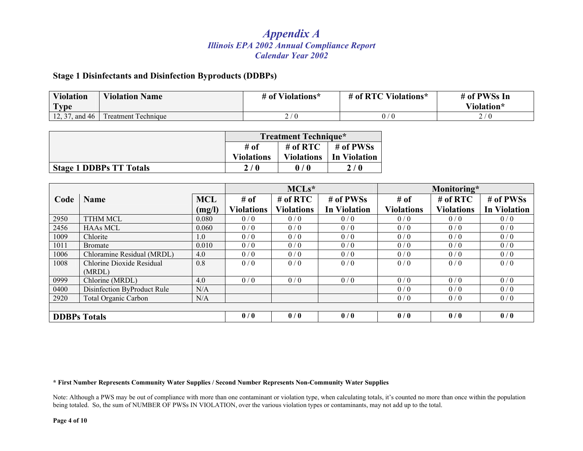#### **Stage 1 Disinfectants and Disinfection Byproducts (DDBPs)**

| <b>Violation</b><br>$\mathbf{r}$ | <b>Violation Name</b>      | # of Violations* | Violations*<br># of $RTC$ | # of PWSs In<br>Violation* |
|----------------------------------|----------------------------|------------------|---------------------------|----------------------------|
| I vpe                            |                            |                  |                           |                            |
| 12, 37, and 46                   | <b>Treatment Technique</b> | -                |                           | $\sqrt{ }$<br>. U<br>،  ے  |

|                                | <b>Treatment Technique*</b> |                   |              |  |  |
|--------------------------------|-----------------------------|-------------------|--------------|--|--|
|                                | # of                        | # of $RTC$        | # of PWSs    |  |  |
|                                | <b>Violations</b>           | <b>Violations</b> | In Violation |  |  |
| <b>Stage 1 DDBPs TT Totals</b> | 2/0                         | 0/0               | 2/0          |  |  |

|      |                             |            | $MCLs*$           |                   |                     | Monitoring*       |                   |                     |
|------|-----------------------------|------------|-------------------|-------------------|---------------------|-------------------|-------------------|---------------------|
| Code | <b>Name</b>                 | <b>MCL</b> | # of              | $#$ of RTC        | # of PWSs           | # of              | $#$ of RTC        | # of PWSs           |
|      |                             | (mg/l)     | <b>Violations</b> | <b>Violations</b> | <b>In Violation</b> | <b>Violations</b> | <b>Violations</b> | <b>In Violation</b> |
| 2950 | <b>TTHM MCL</b>             | 0.080      | 0/0               | 0/0               | 0/0                 | 0/0               | 0/0               | 0/0                 |
| 2456 | <b>HAAs MCL</b>             | 0.060      | 0/0               | 0/0               | 0/0                 | 0/0               | 0/0               | 0/0                 |
| 1009 | Chlorite                    | 1.0        | 0/0               | 0/0               | 0/0                 | 0/0               | 0/0               | 0/0                 |
| 1011 | <b>Bromate</b>              | 0.010      | 0/0               | 0/0               | 0/0                 | 0/0               | 0/0               | 0/0                 |
| 1006 | Chloramine Residual (MRDL)  | 4.0        | 0/0               | 0/0               | 0/0                 | 0/0               | 0/0               | 0/0                 |
| 1008 | Chlorine Dioxide Residual   | 0.8        | 0/0               | 0/0               | 0/0                 | 0/0               | 0/0               | 0/0                 |
|      | (MRDL)                      |            |                   |                   |                     |                   |                   |                     |
| 0999 | Chlorine (MRDL)             | 4.0        | 0/0               | 0/0               | 0/0                 | 0/0               | 0/0               | 0/0                 |
| 0400 | Disinfection ByProduct Rule | N/A        |                   |                   |                     | 0/0               | 0/0               | 0/0                 |
| 2920 | <b>Total Organic Carbon</b> | N/A        |                   |                   |                     | 0/0               | 0/0               | 0/0                 |
|      |                             |            |                   |                   |                     |                   |                   |                     |
|      | <b>DDBPs Totals</b>         |            | 0/0               | 0/0               | 0/0                 | 0/0               | 0/0               | 0/0                 |

**\* First Number Represents Community Water Supplies / Second Number Represents Non-Community Water Supplies** 

Note: Although a PWS may be out of compliance with more than one contaminant or violation type, when calculating totals, it's counted no more than once within the population being totaled. So, the sum of NUMBER OF PWSs IN VIOLATION, over the various violation types or contaminants, may not add up to the total.

**Page 4 of 10**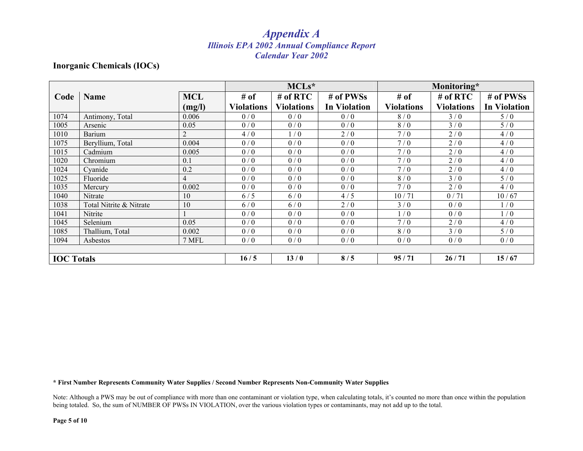#### **Inorganic Chemicals (IOCs)**

|                   |                         |                | MCLs*             |                   |                     | Monitoring*       |                   |                     |
|-------------------|-------------------------|----------------|-------------------|-------------------|---------------------|-------------------|-------------------|---------------------|
| Code              | <b>Name</b>             | <b>MCL</b>     | # of              | # of $RTC$        | # of PWSs           | # of              | $#$ of RTC        | # of PWSs           |
|                   |                         | (mg/l)         | <b>Violations</b> | <b>Violations</b> | <b>In Violation</b> | <b>Violations</b> | <b>Violations</b> | <b>In Violation</b> |
| 1074              | Antimony, Total         | 0.006          | 0/0               | 0/0               | 0/0                 | 8/0               | 3/0               | 5/0                 |
| 1005              | Arsenic                 | 0.05           | 0/0               | 0/0               | 0/0                 | 8/0               | 3/0               | 5/0                 |
| 1010              | <b>Barium</b>           | $\overline{2}$ | 4/0               | 1/0               | 2/0                 | 7/0               | 2/0               | 4/0                 |
| 1075              | Beryllium, Total        | 0.004          | 0/0               | 0/0               | 0/0                 | 7/0               | 2/0               | 4/0                 |
| 1015              | Cadmium                 | 0.005          | 0/0               | 0/0               | 0/0                 | 7/0               | 2/0               | 4/0                 |
| 1020              | Chromium                | 0.1            | 0/0               | 0/0               | 0/0                 | 7/0               | 2/0               | 4/0                 |
| 1024              | Cyanide                 | 0.2            | 0/0               | 0/0               | 0/0                 | 7/0               | 2/0               | 4/0                 |
| 1025              | Fluoride                | 4              | 0/0               | 0/0               | 0/0                 | 8/0               | 3/0               | 5/0                 |
| 1035              | Mercury                 | 0.002          | 0/0               | 0/0               | 0/0                 | 7/0               | 2/0               | 4/0                 |
| 1040              | Nitrate                 | 10             | 6/5               | 6/0               | 4/5                 | 10/71             | 0/71              | 10/67               |
| 1038              | Total Nitrite & Nitrate | 10             | 6/0               | 6/0               | 2/0                 | 3/0               | 0/0               | 1/0                 |
| 1041              | Nitrite                 |                | 0/0               | 0/0               | 0/0                 | 1/0               | 0/0               | 1/0                 |
| 1045              | Selenium                | 0.05           | 0/0               | 0/0               | 0/0                 | 7/0               | 2/0               | 4/0                 |
| 1085              | Thallium, Total         | 0.002          | 0/0               | 0/0               | 0/0                 | 8/0               | 3/0               | 5/0                 |
| 1094              | Asbestos                | 7 MFL          | 0/0               | 0/0               | 0/0                 | 0/0               | 0/0               | 0/0                 |
|                   |                         |                |                   |                   |                     |                   |                   |                     |
| <b>IOC</b> Totals |                         |                | 16/5              | 13/0              | 8/5                 | 95/71             | 26/71             | 15/67               |

#### **\* First Number Represents Community Water Supplies / Second Number Represents Non-Community Water Supplies**

Note: Although a PWS may be out of compliance with more than one contaminant or violation type, when calculating totals, it's counted no more than once within the population being totaled. So, the sum of NUMBER OF PWSs IN VIOLATION, over the various violation types or contaminants, may not add up to the total.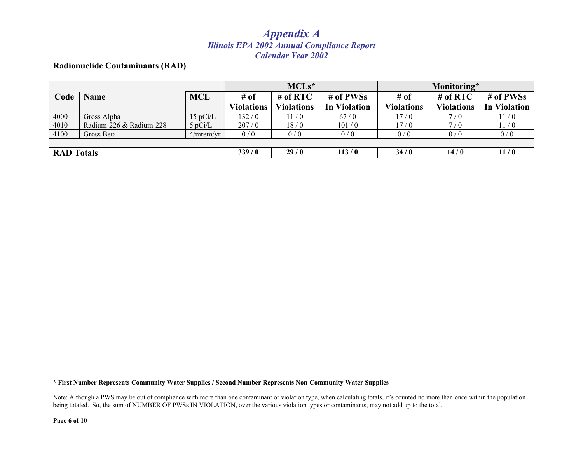#### **Radionuclide Contaminants (RAD)**

|                   |                         |            | $MCLs*$           |                   |                     | Monitoring*       |                   |                     |
|-------------------|-------------------------|------------|-------------------|-------------------|---------------------|-------------------|-------------------|---------------------|
| Code              | <b>Name</b>             | <b>MCL</b> | $#$ of            | $#$ of RTC        | # of PWSs           | # of              | # of $RTC$        | # of PWSs           |
|                   |                         |            | <b>Violations</b> | <b>Violations</b> | <b>In Violation</b> | <b>Violations</b> | <b>Violations</b> | <b>In Violation</b> |
| 4000              | Gross Alpha             | 15 pCi/L   | 132/0             | 11/0              | 67/0                | 17/0              | 7/0               | 11/0                |
| 4010              | Radium-226 & Radium-228 | $5$ pCi/L  | 207/0             | 18/0              | 101/0               | 17/0              | 7/0               | 11/0                |
| 4100              | Gross Beta              | 4/mrem/yr  | 0/0               | 0/0               | 0/0                 | 0/0               | 0/0               | 0/0                 |
|                   |                         |            |                   |                   |                     |                   |                   |                     |
| <b>RAD</b> Totals |                         |            | 339/0             | 29/0              | 113/0               | 34/0              | 14/0              | 11/0                |

**\* First Number Represents Community Water Supplies / Second Number Represents Non-Community Water Supplies** 

Note: Although a PWS may be out of compliance with more than one contaminant or violation type, when calculating totals, it's counted no more than once within the population being totaled. So, the sum of NUMBER OF PWSs IN VIOLATION, over the various violation types or contaminants, may not add up to the total.

**Page 6 of 10**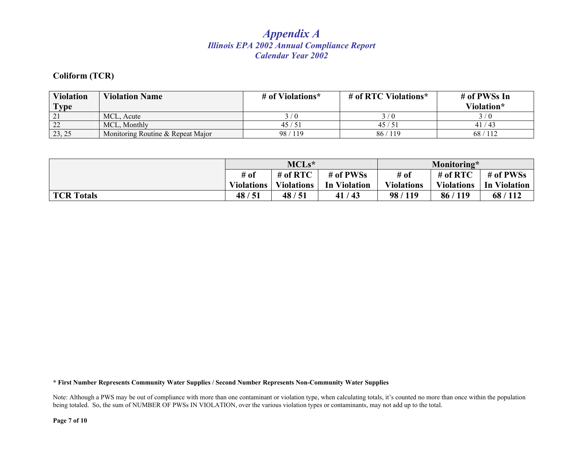#### **Coliform (TCR)**

| <b>Violation</b><br><b>Type</b> | <b>Violation Name</b>             | # of Violations* | # of RTC Violations* | # of PWSs In<br>Violation* |
|---------------------------------|-----------------------------------|------------------|----------------------|----------------------------|
|                                 | MCL. Acute                        |                  |                      | $\theta$                   |
| 22                              | MCL. Monthly                      | 45/51            | 45/51                | 41/43                      |
| 23, 25                          | Monitoring Routine & Repeat Major | 98/119           | 86/119               | 68/112                     |

|                   | $MCLs*$           |                   |                     | Monitoring*       |                   |                     |
|-------------------|-------------------|-------------------|---------------------|-------------------|-------------------|---------------------|
|                   | # of              | # of $RTC$        | # of PWSs           | # of              | # of $RTC$        | # of PWSs           |
|                   | <b>Violations</b> | <b>Violations</b> | <b>In Violation</b> | <b>Violations</b> | <b>Violations</b> | <b>In Violation</b> |
| <b>TCR Totals</b> | 48/51             | 48/51             | 41/43               | 98/119            | 86/119            | 68/112              |

**\* First Number Represents Community Water Supplies / Second Number Represents Non-Community Water Supplies** 

Note: Although a PWS may be out of compliance with more than one contaminant or violation type, when calculating totals, it's counted no more than once within the population being totaled. So, the sum of NUMBER OF PWSs IN VIOLATION, over the various violation types or contaminants, may not add up to the total.

**Page 7 of 10**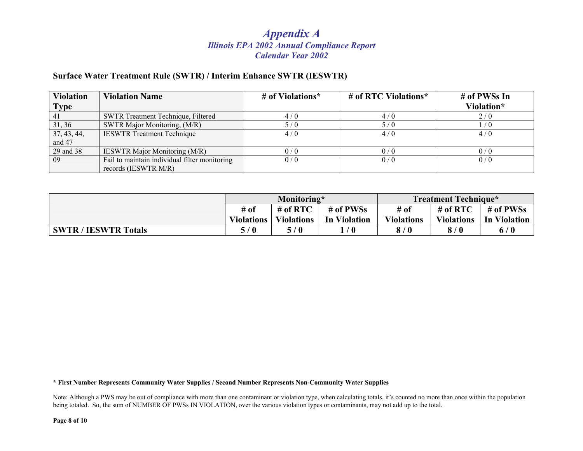#### **Surface Water Treatment Rule (SWTR) / Interim Enhance SWTR (IESWTR)**

| <b>Violation</b><br><b>Type</b> | <b>Violation Name</b>                                                 | # of Violations* | # of RTC Violations* | # of PWSs In<br>Violation* |
|---------------------------------|-----------------------------------------------------------------------|------------------|----------------------|----------------------------|
| 41                              | SWTR Treatment Technique, Filtered                                    | 4/0              | 4/0                  | 2/0                        |
| 31, 36                          | SWTR Major Monitoring, (M/R)                                          | 5/0              | 5/0                  | $\sqrt{0}$                 |
| 37, 43, 44,<br>and 47           | <b>IESWTR Treatment Technique</b>                                     | 4/0              | 4/0                  | 4/0                        |
| 29 and 38                       | <b>IESWTR Major Monitoring (M/R)</b>                                  | 0/0              | 0/0                  | 0/0                        |
| 09                              | Fail to maintain individual filter monitoring<br>records (IESWTR M/R) | 0/0              | 0/0                  | 0/0                        |

|                             | Monitoring*       |                   |              | <b>Treatment Technique*</b> |                   |              |
|-----------------------------|-------------------|-------------------|--------------|-----------------------------|-------------------|--------------|
|                             | # of              | # of $RTC$        | # of PWSs    | # of                        | # of $RTC$        | # of PWSs    |
|                             | <b>Violations</b> | <b>Violations</b> | In Violation | <b>Violations</b>           | <b>Violations</b> | In Violation |
| <b>SWTR / IESWTR Totals</b> | 5/0               | 5/0               | / 0          | 8/0                         | 8/0               | 6/0          |

**\* First Number Represents Community Water Supplies / Second Number Represents Non-Community Water Supplies** 

Note: Although a PWS may be out of compliance with more than one contaminant or violation type, when calculating totals, it's counted no more than once within the population being totaled. So, the sum of NUMBER OF PWSs IN VIOLATION, over the various violation types or contaminants, may not add up to the total.

**Page 8 of 10**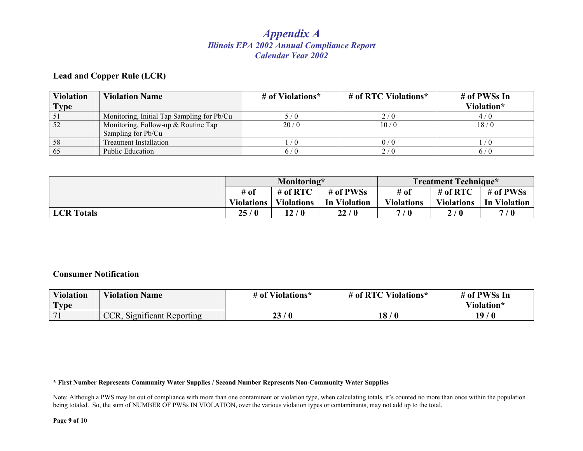#### **Lead and Copper Rule (LCR)**

| <b>Violation</b><br>Type | <b>Violation Name</b>                                     | # of Violations* | # of RTC Violations* | # of PWSs In<br>Violation* |
|--------------------------|-----------------------------------------------------------|------------------|----------------------|----------------------------|
|                          | Monitoring, Initial Tap Sampling for Pb/Cu                | , / ()           | 2/0                  | 4/0                        |
|                          | Monitoring, Follow-up & Routine Tap<br>Sampling for Pb/Cu | 20/0             | 10/0                 | 18/0                       |
| 58                       | <b>Treatment Installation</b>                             | / O              | 0/0                  |                            |
| 65                       | Public Education                                          | 6 / 0            | 2/0                  |                            |

|                   | Monitoring*       |                   |                     | <b>Treatment Technique*</b> |                   |              |
|-------------------|-------------------|-------------------|---------------------|-----------------------------|-------------------|--------------|
|                   | $#$ of            | # of $RTC$        | # of PWSs           | # of                        | # of $RTC$        | # of PWSs    |
|                   | <b>Violations</b> | <b>Violations</b> | <b>In Violation</b> | <b>Violations</b>           | <b>Violations</b> | In Violation |
| <b>LCR</b> Totals | 25/0              | 12 / 0            | 22/0                | 7/0                         | 2/0               | 7/0          |

#### **Consumer Notification**

| <b>Violation</b> | <b>Violation Name</b>      | # of Violations* | # of RTC Violations* | # of PWSs In |
|------------------|----------------------------|------------------|----------------------|--------------|
| <b>Type</b>      |                            |                  |                      | Violation*   |
| 71               | CCR, Significant Reporting | 23/0             | 18<br>$\sqrt{0}$     | 19/0         |

**\* First Number Represents Community Water Supplies / Second Number Represents Non-Community Water Supplies** 

Note: Although a PWS may be out of compliance with more than one contaminant or violation type, when calculating totals, it's counted no more than once within the population being totaled. So, the sum of NUMBER OF PWSs IN VIOLATION, over the various violation types or contaminants, may not add up to the total.

**Page 9 of 10**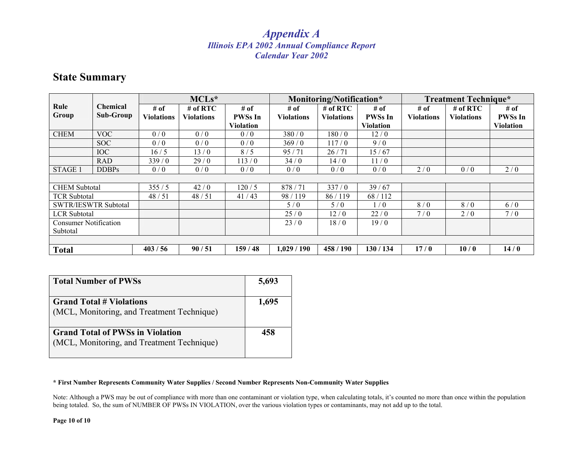### **State Summary**

|                              |                              |                           | $MCLs*$                         |                                            |                           | Monitoring/Notification*      |                                            |                           | <b>Treatment Technique*</b>     |                                            |
|------------------------------|------------------------------|---------------------------|---------------------------------|--------------------------------------------|---------------------------|-------------------------------|--------------------------------------------|---------------------------|---------------------------------|--------------------------------------------|
| Rule<br>Group                | <b>Chemical</b><br>Sub-Group | # of<br><b>Violations</b> | $#$ of RTC<br><b>Violations</b> | # of<br><b>PWSs In</b><br><b>Violation</b> | # of<br><b>Violations</b> | # of RTC<br><b>Violations</b> | # of<br><b>PWSs In</b><br><b>Violation</b> | # of<br><b>Violations</b> | # of $RTC$<br><b>Violations</b> | # of<br><b>PWSs In</b><br><b>Violation</b> |
| <b>CHEM</b>                  | <b>VOC</b>                   | 0/0                       | 0/0                             | 0/0                                        | 380/0                     | 180/0                         | 12/0                                       |                           |                                 |                                            |
|                              | SOC                          | 0/0                       | 0/0                             | 0/0                                        | 369/0                     | 117/0                         | 9/0                                        |                           |                                 |                                            |
|                              | IOC                          | 16/5                      | 13/0                            | 8/5                                        | 95/71                     | 26/71                         | 15/67                                      |                           |                                 |                                            |
|                              | <b>RAD</b>                   | 339/0                     | 29/0                            | 113/0                                      | 34/0                      | 14/0                          | 11/0                                       |                           |                                 |                                            |
| <b>STAGE 1</b>               | <b>DDBPs</b>                 | 0/0                       | 0/0                             | 0/0                                        | 0/0                       | 0/0                           | 0/0                                        | 2/0                       | 0/0                             | 2/0                                        |
|                              |                              |                           |                                 |                                            |                           |                               |                                            |                           |                                 |                                            |
| <b>CHEM Subtotal</b>         |                              | 355/5                     | 42/0                            | 120/5                                      | 878/71                    | 337/0                         | 39/67                                      |                           |                                 |                                            |
| <b>TCR Subtotal</b>          |                              | 48/51                     | 48/51                           | 41/43                                      | 98/119                    | 86/119                        | 68/112                                     |                           |                                 |                                            |
| <b>SWTR/IESWTR Subtotal</b>  |                              |                           |                                 |                                            | 5/0                       | 5/0                           | 1/0                                        | 8/0                       | 8/0                             | 6/0                                        |
| <b>LCR</b> Subtotal          |                              |                           |                                 |                                            | 25/0                      | 12/0                          | 22/0                                       | 7/0                       | 2/0                             | 7/0                                        |
| <b>Consumer Notification</b> |                              |                           |                                 |                                            | 23/0                      | 18/0                          | 19/0                                       |                           |                                 |                                            |
| Subtotal                     |                              |                           |                                 |                                            |                           |                               |                                            |                           |                                 |                                            |
|                              |                              |                           |                                 |                                            |                           |                               |                                            |                           |                                 |                                            |
| <b>Total</b>                 |                              | 403/56                    | 90/51                           | 159/48                                     | 1,029/190                 | 458 / 190                     | 130 / 134                                  | 17/0                      | 10/0                            | 14/0                                       |

| <b>Total Number of PWSs</b>                                                           | 5,693 |
|---------------------------------------------------------------------------------------|-------|
| <b>Grand Total # Violations</b><br>(MCL, Monitoring, and Treatment Technique)         | 1,695 |
| <b>Grand Total of PWSs in Violation</b><br>(MCL, Monitoring, and Treatment Technique) | 458   |

#### **\* First Number Represents Community Water Supplies / Second Number Represents Non-Community Water Supplies**

Note: Although a PWS may be out of compliance with more than one contaminant or violation type, when calculating totals, it's counted no more than once within the population being totaled. So, the sum of NUMBER OF PWSs IN VIOLATION, over the various violation types or contaminants, may not add up to the total.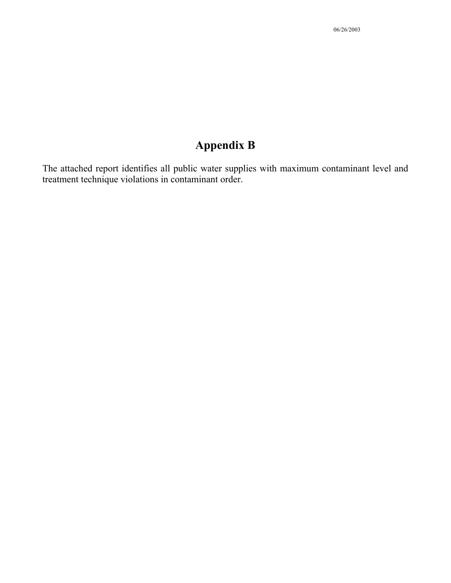The attached report identifies all public water supplies with maximum contaminant level and treatment technique violations in contaminant order.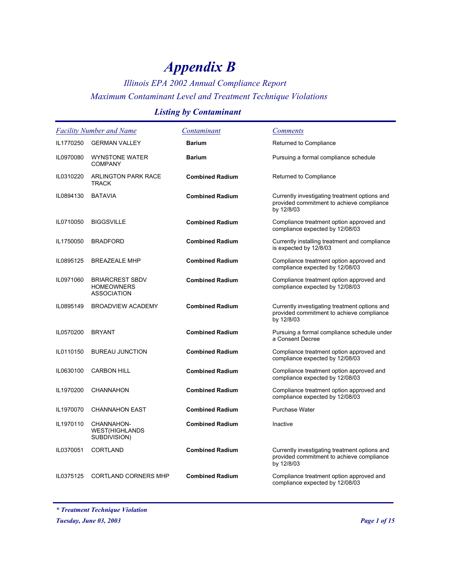### *Illinois EPA 2002 Annual Compliance Report Maximum Contaminant Level and Treatment Technique Violations*

### *Listing by Contaminant*

|           | <b>Facility Number and Name</b>                                   | Contaminant            | <b>Comments</b>                                                                                          |
|-----------|-------------------------------------------------------------------|------------------------|----------------------------------------------------------------------------------------------------------|
| IL1770250 | <b>GERMAN VALLEY</b>                                              | <b>Barium</b>          | Returned to Compliance                                                                                   |
| IL0970080 | <b>WYNSTONE WATER</b><br><b>COMPANY</b>                           | <b>Barium</b>          | Pursuing a formal compliance schedule                                                                    |
| IL0310220 | ARLINGTON PARK RACE<br><b>TRACK</b>                               | <b>Combined Radium</b> | Returned to Compliance                                                                                   |
| IL0894130 | <b>BATAVIA</b>                                                    | <b>Combined Radium</b> | Currently investigating treatment options and<br>provided commitment to achieve compliance<br>by 12/8/03 |
| IL0710050 | <b>BIGGSVILLE</b>                                                 | <b>Combined Radium</b> | Compliance treatment option approved and<br>compliance expected by 12/08/03                              |
| IL1750050 | <b>BRADFORD</b>                                                   | <b>Combined Radium</b> | Currently installing treatment and compliance<br>is expected by 12/8/03                                  |
| IL0895125 | <b>BREAZEALE MHP</b>                                              | <b>Combined Radium</b> | Compliance treatment option approved and<br>compliance expected by 12/08/03                              |
| IL0971060 | <b>BRIARCREST SBDV</b><br><b>HOMEOWNERS</b><br><b>ASSOCIATION</b> | <b>Combined Radium</b> | Compliance treatment option approved and<br>compliance expected by 12/08/03                              |
| IL0895149 | <b>BROADVIEW ACADEMY</b>                                          | <b>Combined Radium</b> | Currently investigating treatment options and<br>provided commitment to achieve compliance<br>by 12/8/03 |
| IL0570200 | <b>BRYANT</b>                                                     | <b>Combined Radium</b> | Pursuing a formal compliance schedule under<br>a Consent Decree                                          |
| IL0110150 | <b>BUREAU JUNCTION</b>                                            | <b>Combined Radium</b> | Compliance treatment option approved and<br>compliance expected by 12/08/03                              |
| IL0630100 | <b>CARBON HILL</b>                                                | <b>Combined Radium</b> | Compliance treatment option approved and<br>compliance expected by 12/08/03                              |
| IL1970200 | <b>CHANNAHON</b>                                                  | <b>Combined Radium</b> | Compliance treatment option approved and<br>compliance expected by 12/08/03                              |
| IL1970070 | <b>CHANNAHON EAST</b>                                             | <b>Combined Radium</b> | <b>Purchase Water</b>                                                                                    |
| IL1970110 | CHANNAHON-<br><b>WEST(HIGHLANDS</b><br>SUBDIVISION)               | <b>Combined Radium</b> | Inactive                                                                                                 |
| IL0370051 | <b>CORTLAND</b>                                                   | <b>Combined Radium</b> | Currently investigating treatment options and<br>provided commitment to achieve compliance<br>by 12/8/03 |
| IL0375125 | <b>CORTLAND CORNERS MHP</b>                                       | <b>Combined Radium</b> | Compliance treatment option approved and<br>compliance expected by 12/08/03                              |

*\* Treatment Technique Violation*

*Tuesday, June 03, 2003 Page 1 of 15*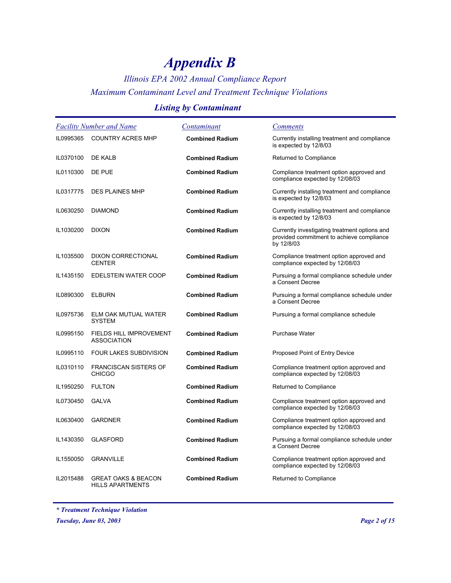### *Illinois EPA 2002 Annual Compliance Report Maximum Contaminant Level and Treatment Technique Violations*

### *Listing by Contaminant*

| <b>Facility Number and Name</b> |                                                           | Contaminant            | <b>Comments</b>                                                                                          |
|---------------------------------|-----------------------------------------------------------|------------------------|----------------------------------------------------------------------------------------------------------|
| IL0995365                       | <b>COUNTRY ACRES MHP</b>                                  | <b>Combined Radium</b> | Currently installing treatment and compliance<br>is expected by 12/8/03                                  |
| IL0370100                       | DE KALB                                                   | <b>Combined Radium</b> | Returned to Compliance                                                                                   |
| IL0110300                       | DE PUE                                                    | <b>Combined Radium</b> | Compliance treatment option approved and<br>compliance expected by 12/08/03                              |
| IL0317775                       | <b>DES PLAINES MHP</b>                                    | <b>Combined Radium</b> | Currently installing treatment and compliance<br>is expected by 12/8/03                                  |
| IL0630250                       | <b>DIAMOND</b>                                            | <b>Combined Radium</b> | Currently installing treatment and compliance<br>is expected by 12/8/03                                  |
| IL1030200                       | <b>DIXON</b>                                              | <b>Combined Radium</b> | Currently investigating treatment options and<br>provided commitment to achieve compliance<br>by 12/8/03 |
| IL1035500                       | <b>DIXON CORRECTIONAL</b><br><b>CENTER</b>                | <b>Combined Radium</b> | Compliance treatment option approved and<br>compliance expected by 12/08/03                              |
| IL1435150                       | EDELSTEIN WATER COOP                                      | <b>Combined Radium</b> | Pursuing a formal compliance schedule under<br>a Consent Decree                                          |
| IL0890300                       | <b>ELBURN</b>                                             | <b>Combined Radium</b> | Pursuing a formal compliance schedule under<br>a Consent Decree                                          |
| IL0975736                       | ELM OAK MUTUAL WATER<br><b>SYSTEM</b>                     | <b>Combined Radium</b> | Pursuing a formal compliance schedule                                                                    |
| IL0995150                       | FIELDS HILL IMPROVEMENT<br><b>ASSOCIATION</b>             | <b>Combined Radium</b> | <b>Purchase Water</b>                                                                                    |
| IL0995110                       | <b>FOUR LAKES SUBDIVISION</b>                             | <b>Combined Radium</b> | Proposed Point of Entry Device                                                                           |
| IL0310110                       | <b>FRANCISCAN SISTERS OF</b><br><b>CHICGO</b>             | <b>Combined Radium</b> | Compliance treatment option approved and<br>compliance expected by 12/08/03                              |
| IL1950250                       | <b>FULTON</b>                                             | <b>Combined Radium</b> | Returned to Compliance                                                                                   |
| IL0730450                       | <b>GALVA</b>                                              | <b>Combined Radium</b> | Compliance treatment option approved and<br>compliance expected by 12/08/03                              |
| IL0630400                       | <b>GARDNER</b>                                            | <b>Combined Radium</b> | Compliance treatment option approved and<br>compliance expected by 12/08/03                              |
| IL1430350                       | <b>GLASFORD</b>                                           | <b>Combined Radium</b> | Pursuing a formal compliance schedule under<br>a Consent Decree                                          |
| IL1550050                       | <b>GRANVILLE</b>                                          | <b>Combined Radium</b> | Compliance treatment option approved and<br>compliance expected by 12/08/03                              |
| IL2015488                       | <b>GREAT OAKS &amp; BEACON</b><br><b>HILLS APARTMENTS</b> | <b>Combined Radium</b> | Returned to Compliance                                                                                   |

*\* Treatment Technique Violation*

*Tuesday, June 03, 2003 Page 2 of 15*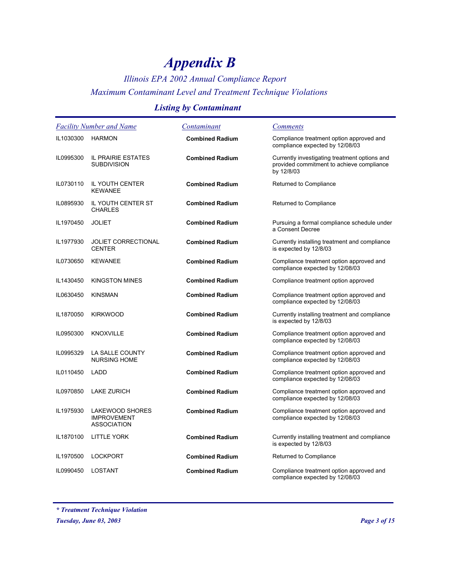### *Illinois EPA 2002 Annual Compliance Report Maximum Contaminant Level and Treatment Technique Violations*

### *Listing by Contaminant*

| <b>Facility Number and Name</b> |                                                             | Contaminant            | <b>Comments</b>                                                                                          |
|---------------------------------|-------------------------------------------------------------|------------------------|----------------------------------------------------------------------------------------------------------|
| IL1030300                       | <b>HARMON</b>                                               | <b>Combined Radium</b> | Compliance treatment option approved and<br>compliance expected by 12/08/03                              |
| IL0995300                       | IL PRAIRIE ESTATES<br><b>SUBDIVISION</b>                    | <b>Combined Radium</b> | Currently investigating treatment options and<br>provided commitment to achieve compliance<br>by 12/8/03 |
| IL0730110                       | IL YOUTH CENTER<br><b>KEWANEE</b>                           | <b>Combined Radium</b> | Returned to Compliance                                                                                   |
| IL0895930                       | IL YOUTH CENTER ST<br><b>CHARLES</b>                        | <b>Combined Radium</b> | Returned to Compliance                                                                                   |
| IL1970450                       | <b>JOLIET</b>                                               | <b>Combined Radium</b> | Pursuing a formal compliance schedule under<br>a Consent Decree                                          |
| IL1977930                       | <b>JOLIET CORRECTIONAL</b><br><b>CENTER</b>                 | <b>Combined Radium</b> | Currently installing treatment and compliance<br>is expected by 12/8/03                                  |
| IL0730650                       | <b>KEWANEE</b>                                              | <b>Combined Radium</b> | Compliance treatment option approved and<br>compliance expected by 12/08/03                              |
| IL1430450                       | <b>KINGSTON MINES</b>                                       | <b>Combined Radium</b> | Compliance treatment option approved                                                                     |
| IL0630450                       | <b>KINSMAN</b>                                              | <b>Combined Radium</b> | Compliance treatment option approved and<br>compliance expected by 12/08/03                              |
| IL1870050                       | <b>KIRKWOOD</b>                                             | <b>Combined Radium</b> | Currently installing treatment and compliance<br>is expected by 12/8/03                                  |
| IL0950300                       | <b>KNOXVILLE</b>                                            | <b>Combined Radium</b> | Compliance treatment option approved and<br>compliance expected by 12/08/03                              |
| IL0995329                       | LA SALLE COUNTY<br><b>NURSING HOME</b>                      | <b>Combined Radium</b> | Compliance treatment option approved and<br>compliance expected by 12/08/03                              |
| IL0110450                       | LADD                                                        | <b>Combined Radium</b> | Compliance treatment option approved and<br>compliance expected by 12/08/03                              |
| IL0970850                       | <b>LAKE ZURICH</b>                                          | <b>Combined Radium</b> | Compliance treatment option approved and<br>compliance expected by 12/08/03                              |
| IL1975930                       | LAKEWOOD SHORES<br><b>IMPROVEMENT</b><br><b>ASSOCIATION</b> | <b>Combined Radium</b> | Compliance treatment option approved and<br>compliance expected by 12/08/03                              |
| IL1870100                       | <b>LITTLE YORK</b>                                          | <b>Combined Radium</b> | Currently installing treatment and compliance<br>is expected by 12/8/03                                  |
| IL1970500                       | <b>LOCKPORT</b>                                             | <b>Combined Radium</b> | Returned to Compliance                                                                                   |
| IL0990450                       | LOSTANT                                                     | <b>Combined Radium</b> | Compliance treatment option approved and<br>compliance expected by 12/08/03                              |

*\* Treatment Technique Violation*

*Tuesday, June 03, 2003 Page 3 of 15*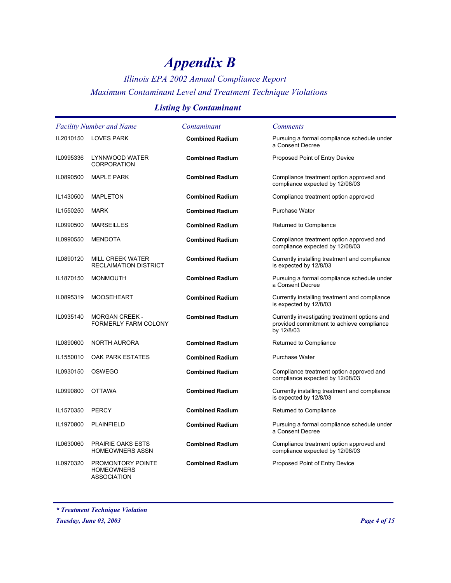### *Illinois EPA 2002 Annual Compliance Report Maximum Contaminant Level and Treatment Technique Violations*

### *Listing by Contaminant*

|           | <b>Facility Number and Name</b>                       | Contaminant            | <i>Comments</i>                                                                                          |
|-----------|-------------------------------------------------------|------------------------|----------------------------------------------------------------------------------------------------------|
| IL2010150 | <b>LOVES PARK</b>                                     | <b>Combined Radium</b> | Pursuing a formal compliance schedule under<br>a Consent Decree                                          |
| IL0995336 | LYNNWOOD WATER<br><b>CORPORATION</b>                  | <b>Combined Radium</b> | Proposed Point of Entry Device                                                                           |
| IL0890500 | <b>MAPLE PARK</b>                                     | <b>Combined Radium</b> | Compliance treatment option approved and<br>compliance expected by 12/08/03                              |
| IL1430500 | <b>MAPLETON</b>                                       | <b>Combined Radium</b> | Compliance treatment option approved                                                                     |
| IL1550250 | <b>MARK</b>                                           | <b>Combined Radium</b> | Purchase Water                                                                                           |
| IL0990500 | <b>MARSEILLES</b>                                     | <b>Combined Radium</b> | Returned to Compliance                                                                                   |
| IL0990550 | <b>MENDOTA</b>                                        | <b>Combined Radium</b> | Compliance treatment option approved and<br>compliance expected by 12/08/03                              |
| IL0890120 | MILL CREEK WATER<br><b>RECLAIMATION DISTRICT</b>      | <b>Combined Radium</b> | Currently installing treatment and compliance<br>is expected by 12/8/03                                  |
| IL1870150 | <b>MONMOUTH</b>                                       | <b>Combined Radium</b> | Pursuing a formal compliance schedule under<br>a Consent Decree                                          |
| IL0895319 | <b>MOOSEHEART</b>                                     | <b>Combined Radium</b> | Currently installing treatment and compliance<br>is expected by 12/8/03                                  |
| IL0935140 | <b>MORGAN CREEK -</b><br>FORMERLY FARM COLONY         | <b>Combined Radium</b> | Currently investigating treatment options and<br>provided commitment to achieve compliance<br>by 12/8/03 |
| IL0890600 | NORTH AURORA                                          | <b>Combined Radium</b> | Returned to Compliance                                                                                   |
| IL1550010 | <b>OAK PARK ESTATES</b>                               | <b>Combined Radium</b> | <b>Purchase Water</b>                                                                                    |
| IL0930150 | <b>OSWEGO</b>                                         | <b>Combined Radium</b> | Compliance treatment option approved and<br>compliance expected by 12/08/03                              |
| IL0990800 | <b>OTTAWA</b>                                         | <b>Combined Radium</b> | Currently installing treatment and compliance<br>is expected by 12/8/03                                  |
| IL1570350 | <b>PERCY</b>                                          | <b>Combined Radium</b> | Returned to Compliance                                                                                   |
| IL1970800 | <b>PLAINFIELD</b>                                     | <b>Combined Radium</b> | Pursuing a formal compliance schedule under<br>a Consent Decree                                          |
| IL0630060 | <b>PRAIRIE OAKS ESTS</b><br><b>HOMEOWNERS ASSN</b>    | <b>Combined Radium</b> | Compliance treatment option approved and<br>compliance expected by 12/08/03                              |
| IL0970320 | PROMONTORY POINTE<br><b>HOMEOWNERS</b><br>ASSOCIATION | <b>Combined Radium</b> | Proposed Point of Entry Device                                                                           |

*\* Treatment Technique Violation*

*Tuesday, June 03, 2003 Page 4 of 15*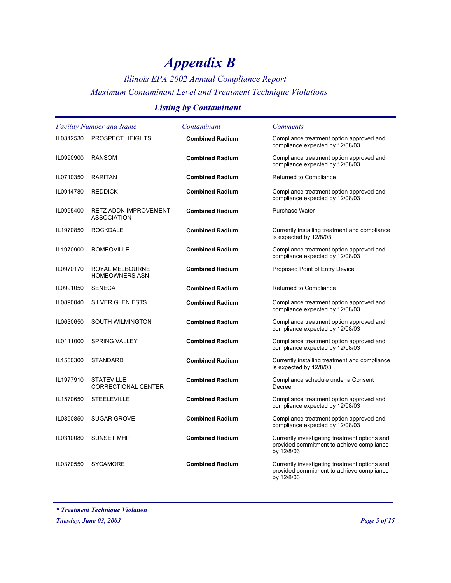### *Illinois EPA 2002 Annual Compliance Report Maximum Contaminant Level and Treatment Technique Violations*

### *Listing by Contaminant*

| <b>Facility Number and Name</b> |                                                    | Contaminant            | <i>Comments</i>                                                                                          |
|---------------------------------|----------------------------------------------------|------------------------|----------------------------------------------------------------------------------------------------------|
| IL0312530                       | <b>PROSPECT HEIGHTS</b>                            | <b>Combined Radium</b> | Compliance treatment option approved and<br>compliance expected by 12/08/03                              |
| IL0990900                       | <b>RANSOM</b>                                      | <b>Combined Radium</b> | Compliance treatment option approved and<br>compliance expected by 12/08/03                              |
| IL0710350                       | <b>RARITAN</b>                                     | <b>Combined Radium</b> | Returned to Compliance                                                                                   |
| IL0914780                       | <b>REDDICK</b>                                     | <b>Combined Radium</b> | Compliance treatment option approved and<br>compliance expected by 12/08/03                              |
| IL0995400                       | <b>RETZ ADDN IMPROVEMENT</b><br><b>ASSOCIATION</b> | <b>Combined Radium</b> | <b>Purchase Water</b>                                                                                    |
| IL1970850                       | <b>ROCKDALE</b>                                    | <b>Combined Radium</b> | Currently installing treatment and compliance<br>is expected by 12/8/03                                  |
| IL1970900                       | <b>ROMEOVILLE</b>                                  | <b>Combined Radium</b> | Compliance treatment option approved and<br>compliance expected by 12/08/03                              |
| IL0970170                       | ROYAL MELBOURNE<br><b>HOMEOWNERS ASN</b>           | <b>Combined Radium</b> | Proposed Point of Entry Device                                                                           |
| IL0991050                       | <b>SENECA</b>                                      | <b>Combined Radium</b> | Returned to Compliance                                                                                   |
| IL0890040                       | <b>SILVER GLEN ESTS</b>                            | <b>Combined Radium</b> | Compliance treatment option approved and<br>compliance expected by 12/08/03                              |
| IL0630650                       | <b>SOUTH WILMINGTON</b>                            | <b>Combined Radium</b> | Compliance treatment option approved and<br>compliance expected by 12/08/03                              |
| IL0111000                       | <b>SPRING VALLEY</b>                               | <b>Combined Radium</b> | Compliance treatment option approved and<br>compliance expected by 12/08/03                              |
| IL1550300                       | <b>STANDARD</b>                                    | <b>Combined Radium</b> | Currently installing treatment and compliance<br>is expected by 12/8/03                                  |
| IL1977910                       | <b>STATEVILLE</b><br><b>CORRECTIONAL CENTER</b>    | <b>Combined Radium</b> | Compliance schedule under a Consent<br>Decree                                                            |
| IL1570650                       | <b>STEELEVILLE</b>                                 | <b>Combined Radium</b> | Compliance treatment option approved and<br>compliance expected by 12/08/03                              |
| IL0890850                       | <b>SUGAR GROVE</b>                                 | <b>Combined Radium</b> | Compliance treatment option approved and<br>compliance expected by 12/08/03                              |
| IL0310080                       | <b>SUNSET MHP</b>                                  | <b>Combined Radium</b> | Currently investigating treatment options and<br>provided commitment to achieve compliance<br>by 12/8/03 |
| IL0370550                       | <b>SYCAMORE</b>                                    | <b>Combined Radium</b> | Currently investigating treatment options and<br>provided commitment to achieve compliance<br>by 12/8/03 |

*<sup>\*</sup> Treatment Technique Violation*

*Tuesday, June 03, 2003 Page 5 of 15*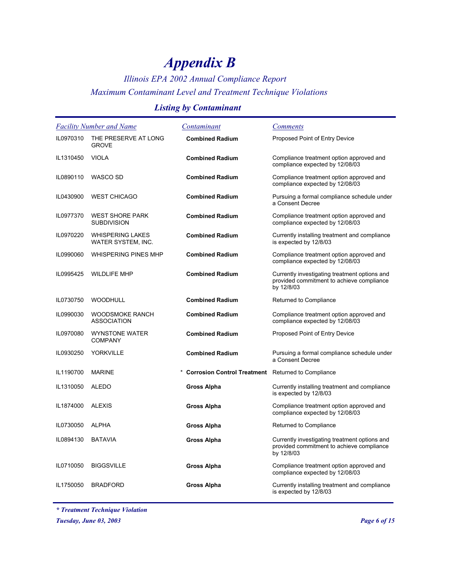### *Illinois EPA 2002 Annual Compliance Report Maximum Contaminant Level and Treatment Technique Violations*

### *Listing by Contaminant*

| <b>Facility Number and Name</b> |                                               | Contaminant                                        | <i>Comments</i>                                                                                          |
|---------------------------------|-----------------------------------------------|----------------------------------------------------|----------------------------------------------------------------------------------------------------------|
| IL0970310                       | THE PRESERVE AT LONG<br><b>GROVE</b>          | <b>Combined Radium</b>                             | Proposed Point of Entry Device                                                                           |
| IL1310450                       | <b>VIOLA</b>                                  | <b>Combined Radium</b>                             | Compliance treatment option approved and<br>compliance expected by 12/08/03                              |
| IL0890110                       | WASCO SD                                      | <b>Combined Radium</b>                             | Compliance treatment option approved and<br>compliance expected by 12/08/03                              |
| IL0430900                       | <b>WEST CHICAGO</b>                           | <b>Combined Radium</b>                             | Pursuing a formal compliance schedule under<br>a Consent Decree                                          |
| IL0977370                       | <b>WEST SHORE PARK</b><br><b>SUBDIVISION</b>  | <b>Combined Radium</b>                             | Compliance treatment option approved and<br>compliance expected by 12/08/03                              |
| IL0970220                       | <b>WHISPERING LAKES</b><br>WATER SYSTEM, INC. | <b>Combined Radium</b>                             | Currently installing treatment and compliance<br>is expected by 12/8/03                                  |
| IL0990060                       | <b>WHISPERING PINES MHP</b>                   | <b>Combined Radium</b>                             | Compliance treatment option approved and<br>compliance expected by 12/08/03                              |
| IL0995425                       | <b>WILDLIFE MHP</b>                           | <b>Combined Radium</b>                             | Currently investigating treatment options and<br>provided commitment to achieve compliance<br>by 12/8/03 |
| IL0730750                       | <b>WOODHULL</b>                               | <b>Combined Radium</b>                             | Returned to Compliance                                                                                   |
| IL0990030                       | <b>WOODSMOKE RANCH</b><br><b>ASSOCIATION</b>  | <b>Combined Radium</b>                             | Compliance treatment option approved and<br>compliance expected by 12/08/03                              |
| IL0970080                       | <b>WYNSTONE WATER</b><br><b>COMPANY</b>       | <b>Combined Radium</b>                             | Proposed Point of Entry Device                                                                           |
| IL0930250                       | <b>YORKVILLE</b>                              | <b>Combined Radium</b>                             | Pursuing a formal compliance schedule under<br>a Consent Decree                                          |
| IL1190700                       | <b>MARINE</b>                                 | Corrosion Control Treatment Returned to Compliance |                                                                                                          |
| IL1310050                       | <b>ALEDO</b>                                  | Gross Alpha                                        | Currently installing treatment and compliance<br>is expected by 12/8/03                                  |
| IL1874000                       | <b>ALEXIS</b>                                 | Gross Alpha                                        | Compliance treatment option approved and<br>compliance expected by 12/08/03                              |
| IL0730050                       | <b>ALPHA</b>                                  | Gross Alpha                                        | Returned to Compliance                                                                                   |
| IL0894130                       | <b>BATAVIA</b>                                | Gross Alpha                                        | Currently investigating treatment options and<br>provided commitment to achieve compliance<br>by 12/8/03 |
| IL0710050                       | <b>BIGGSVILLE</b>                             | Gross Alpha                                        | Compliance treatment option approved and<br>compliance expected by 12/08/03                              |
| IL1750050                       | <b>BRADFORD</b>                               | <b>Gross Alpha</b>                                 | Currently installing treatment and compliance<br>is expected by 12/8/03                                  |

*\* Treatment Technique Violation*

*Tuesday, June 03, 2003 Page 6 of 15*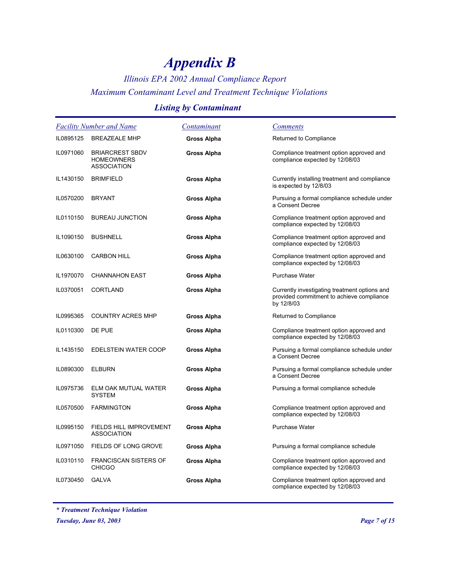### *Illinois EPA 2002 Annual Compliance Report Maximum Contaminant Level and Treatment Technique Violations*

### *Listing by Contaminant*

|           | <b>Facility Number and Name</b>                                   | Contaminant        | <b>Comments</b>                                                                                          |
|-----------|-------------------------------------------------------------------|--------------------|----------------------------------------------------------------------------------------------------------|
| IL0895125 | <b>BREAZEALE MHP</b>                                              | Gross Alpha        | Returned to Compliance                                                                                   |
| IL0971060 | <b>BRIARCREST SBDV</b><br><b>HOMEOWNERS</b><br><b>ASSOCIATION</b> | <b>Gross Alpha</b> | Compliance treatment option approved and<br>compliance expected by 12/08/03                              |
| IL1430150 | <b>BRIMFIELD</b>                                                  | Gross Alpha        | Currently installing treatment and compliance<br>is expected by 12/8/03                                  |
| IL0570200 | <b>BRYANT</b>                                                     | Gross Alpha        | Pursuing a formal compliance schedule under<br>a Consent Decree                                          |
| IL0110150 | <b>BUREAU JUNCTION</b>                                            | Gross Alpha        | Compliance treatment option approved and<br>compliance expected by 12/08/03                              |
| IL1090150 | <b>BUSHNELL</b>                                                   | Gross Alpha        | Compliance treatment option approved and<br>compliance expected by 12/08/03                              |
| IL0630100 | <b>CARBON HILL</b>                                                | Gross Alpha        | Compliance treatment option approved and<br>compliance expected by 12/08/03                              |
| IL1970070 | <b>CHANNAHON EAST</b>                                             | Gross Alpha        | Purchase Water                                                                                           |
| IL0370051 | <b>CORTLAND</b>                                                   | Gross Alpha        | Currently investigating treatment options and<br>provided commitment to achieve compliance<br>by 12/8/03 |
| IL0995365 | COUNTRY ACRES MHP                                                 | Gross Alpha        | Returned to Compliance                                                                                   |
| IL0110300 | DE PUE                                                            | Gross Alpha        | Compliance treatment option approved and<br>compliance expected by 12/08/03                              |
| IL1435150 | <b>EDELSTEIN WATER COOP</b>                                       | Gross Alpha        | Pursuing a formal compliance schedule under<br>a Consent Decree                                          |
| IL0890300 | <b>ELBURN</b>                                                     | Gross Alpha        | Pursuing a formal compliance schedule under<br>a Consent Decree                                          |
| IL0975736 | ELM OAK MUTUAL WATER<br><b>SYSTEM</b>                             | Gross Alpha        | Pursuing a formal compliance schedule                                                                    |
| IL0570500 | <b>FARMINGTON</b>                                                 | Gross Alpha        | Compliance treatment option approved and<br>compliance expected by 12/08/03                              |
| IL0995150 | FIELDS HILL IMPROVEMENT<br><b>ASSOCIATION</b>                     | Gross Alpha        | Purchase Water                                                                                           |
| IL0971050 | FIELDS OF LONG GROVE                                              | Gross Alpha        | Pursuing a formal compliance schedule                                                                    |
| IL0310110 | <b>FRANCISCAN SISTERS OF</b><br><b>CHICGO</b>                     | Gross Alpha        | Compliance treatment option approved and<br>compliance expected by 12/08/03                              |
| IL0730450 | <b>GALVA</b>                                                      | Gross Alpha        | Compliance treatment option approved and<br>compliance expected by 12/08/03                              |

*\* Treatment Technique Violation*

*Tuesday, June 03, 2003 Page 7 of 15*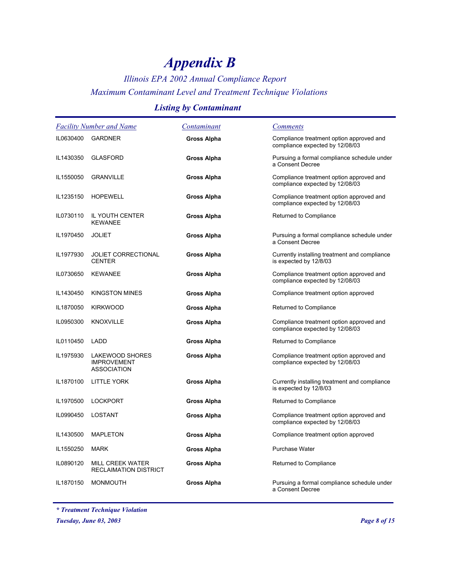### *Illinois EPA 2002 Annual Compliance Report Maximum Contaminant Level and Treatment Technique Violations*

### *Listing by Contaminant*

| <b>Facility Number and Name</b> |                                                             | Contaminant | <i>Comments</i>                                                             |
|---------------------------------|-------------------------------------------------------------|-------------|-----------------------------------------------------------------------------|
| IL0630400                       | <b>GARDNER</b>                                              | Gross Alpha | Compliance treatment option approved and<br>compliance expected by 12/08/03 |
| IL1430350                       | <b>GLASFORD</b>                                             | Gross Alpha | Pursuing a formal compliance schedule under<br>a Consent Decree             |
| IL1550050                       | <b>GRANVILLE</b>                                            | Gross Alpha | Compliance treatment option approved and<br>compliance expected by 12/08/03 |
| IL1235150                       | <b>HOPEWELL</b>                                             | Gross Alpha | Compliance treatment option approved and<br>compliance expected by 12/08/03 |
| IL0730110                       | IL YOUTH CENTER<br><b>KEWANEE</b>                           | Gross Alpha | Returned to Compliance                                                      |
| IL1970450                       | <b>JOLIET</b>                                               | Gross Alpha | Pursuing a formal compliance schedule under<br>a Consent Decree             |
| IL1977930                       | <b>JOLIET CORRECTIONAL</b><br><b>CENTER</b>                 | Gross Alpha | Currently installing treatment and compliance<br>is expected by 12/8/03     |
| IL0730650                       | <b>KEWANEE</b>                                              | Gross Alpha | Compliance treatment option approved and<br>compliance expected by 12/08/03 |
| IL1430450                       | <b>KINGSTON MINES</b>                                       | Gross Alpha | Compliance treatment option approved                                        |
| IL1870050                       | <b>KIRKWOOD</b>                                             | Gross Alpha | Returned to Compliance                                                      |
| IL0950300                       | <b>KNOXVILLE</b>                                            | Gross Alpha | Compliance treatment option approved and<br>compliance expected by 12/08/03 |
| IL0110450                       | LADD                                                        | Gross Alpha | Returned to Compliance                                                      |
| IL1975930                       | LAKEWOOD SHORES<br><b>IMPROVEMENT</b><br><b>ASSOCIATION</b> | Gross Alpha | Compliance treatment option approved and<br>compliance expected by 12/08/03 |
| IL1870100                       | <b>LITTLE YORK</b>                                          | Gross Alpha | Currently installing treatment and compliance<br>is expected by 12/8/03     |
| IL1970500                       | <b>LOCKPORT</b>                                             | Gross Alpha | Returned to Compliance                                                      |
| IL0990450                       | <b>LOSTANT</b>                                              | Gross Alpha | Compliance treatment option approved and<br>compliance expected by 12/08/03 |
| IL1430500                       | <b>MAPLETON</b>                                             | Gross Alpha | Compliance treatment option approved                                        |
| IL1550250                       | <b>MARK</b>                                                 | Gross Alpha | <b>Purchase Water</b>                                                       |
| IL0890120                       | <b>MILL CREEK WATER</b><br><b>RECLAIMATION DISTRICT</b>     | Gross Alpha | Returned to Compliance                                                      |
| IL1870150                       | <b>MONMOUTH</b>                                             | Gross Alpha | Pursuing a formal compliance schedule under<br>a Consent Decree             |

*\* Treatment Technique Violation*

*Tuesday, June 03, 2003 Page 8 of 15*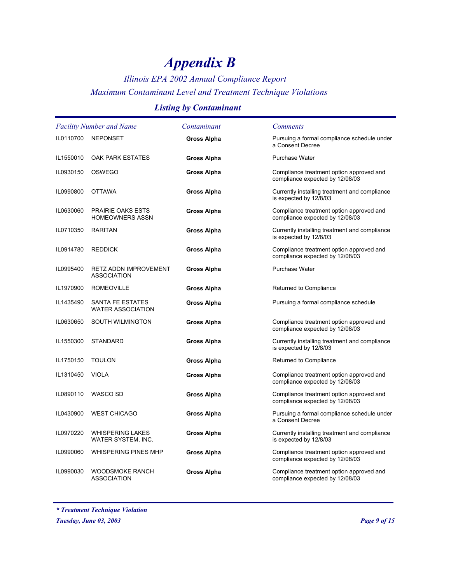### *Illinois EPA 2002 Annual Compliance Report Maximum Contaminant Level and Treatment Technique Violations*

### *Listing by Contaminant*

| <b>Facility Number and Name</b> |                                                     | Contaminant | <b>Comments</b>                                                             |
|---------------------------------|-----------------------------------------------------|-------------|-----------------------------------------------------------------------------|
| IL0110700                       | <b>NEPONSET</b>                                     | Gross Alpha | Pursuing a formal compliance schedule under<br>a Consent Decree             |
| IL1550010                       | OAK PARK ESTATES                                    | Gross Alpha | <b>Purchase Water</b>                                                       |
| IL0930150                       | <b>OSWEGO</b>                                       | Gross Alpha | Compliance treatment option approved and<br>compliance expected by 12/08/03 |
| IL0990800                       | <b>OTTAWA</b>                                       | Gross Alpha | Currently installing treatment and compliance<br>is expected by 12/8/03     |
| IL0630060                       | <b>PRAIRIE OAKS ESTS</b><br><b>HOMEOWNERS ASSN</b>  | Gross Alpha | Compliance treatment option approved and<br>compliance expected by 12/08/03 |
| IL0710350                       | <b>RARITAN</b>                                      | Gross Alpha | Currently installing treatment and compliance<br>is expected by 12/8/03     |
| IL0914780                       | <b>REDDICK</b>                                      | Gross Alpha | Compliance treatment option approved and<br>compliance expected by 12/08/03 |
| IL0995400                       | <b>RETZ ADDN IMPROVEMENT</b><br><b>ASSOCIATION</b>  | Gross Alpha | <b>Purchase Water</b>                                                       |
| IL1970900                       | <b>ROMEOVILLE</b>                                   | Gross Alpha | Returned to Compliance                                                      |
| IL1435490                       | <b>SANTA FE ESTATES</b><br><b>WATER ASSOCIATION</b> | Gross Alpha | Pursuing a formal compliance schedule                                       |
| IL0630650                       | SOUTH WILMINGTON                                    | Gross Alpha | Compliance treatment option approved and<br>compliance expected by 12/08/03 |
| IL1550300                       | <b>STANDARD</b>                                     | Gross Alpha | Currently installing treatment and compliance<br>is expected by 12/8/03     |
| IL1750150                       | <b>TOULON</b>                                       | Gross Alpha | Returned to Compliance                                                      |
| IL1310450                       | <b>VIOLA</b>                                        | Gross Alpha | Compliance treatment option approved and<br>compliance expected by 12/08/03 |
| IL0890110                       | WASCO SD                                            | Gross Alpha | Compliance treatment option approved and<br>compliance expected by 12/08/03 |
| IL0430900                       | <b>WEST CHICAGO</b>                                 | Gross Alpha | Pursuing a formal compliance schedule under<br>a Consent Decree             |
| IL0970220                       | <b>WHISPERING LAKES</b><br>WATER SYSTEM, INC.       | Gross Alpha | Currently installing treatment and compliance<br>is expected by 12/8/03     |
| IL0990060                       | <b>WHISPERING PINES MHP</b>                         | Gross Alpha | Compliance treatment option approved and<br>compliance expected by 12/08/03 |
| IL0990030                       | <b>WOODSMOKE RANCH</b><br><b>ASSOCIATION</b>        | Gross Alpha | Compliance treatment option approved and<br>compliance expected by 12/08/03 |

*\* Treatment Technique Violation*

*Tuesday, June 03, 2003 Page 9 of 15*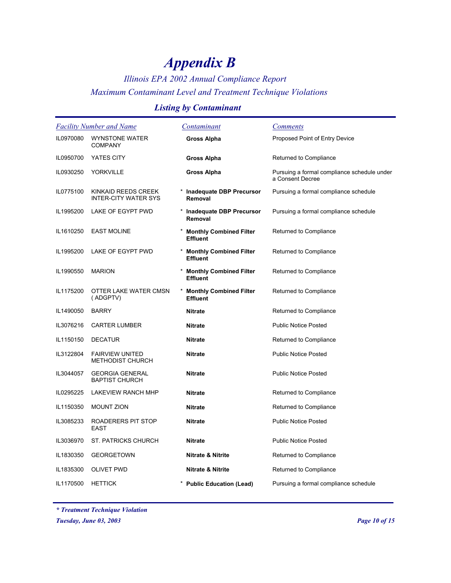### *Illinois EPA 2002 Annual Compliance Report Maximum Contaminant Level and Treatment Technique Violations*

### *Listing by Contaminant*

| <b>Facility Number and Name</b> |                                                   | Contaminant                                       | <b>Comments</b>                                                 |
|---------------------------------|---------------------------------------------------|---------------------------------------------------|-----------------------------------------------------------------|
| IL0970080                       | <b>WYNSTONE WATER</b><br><b>COMPANY</b>           | Gross Alpha                                       | Proposed Point of Entry Device                                  |
| IL0950700                       | YATES CITY                                        | Gross Alpha                                       | Returned to Compliance                                          |
| IL0930250                       | <b>YORKVILLE</b>                                  | Gross Alpha                                       | Pursuing a formal compliance schedule under<br>a Consent Decree |
| IL0775100                       | KINKAID REEDS CREEK<br>INTER-CITY WATER SYS       | <b>Inadequate DBP Precursor</b><br>Removal        | Pursuing a formal compliance schedule                           |
| IL1995200                       | LAKE OF EGYPT PWD                                 | <b>Inadequate DBP Precursor</b><br>Removal        | Pursuing a formal compliance schedule                           |
| IL1610250                       | <b>EAST MOLINE</b>                                | <b>Monthly Combined Filter</b><br><b>Effluent</b> | Returned to Compliance                                          |
| IL1995200                       | LAKE OF EGYPT PWD                                 | <b>Monthly Combined Filter</b><br><b>Effluent</b> | Returned to Compliance                                          |
| IL1990550                       | <b>MARION</b>                                     | <b>Monthly Combined Filter</b><br><b>Effluent</b> | Returned to Compliance                                          |
| IL1175200                       | OTTER LAKE WATER CMSN<br>(ADGPTV)                 | <b>Monthly Combined Filter</b><br><b>Effluent</b> | Returned to Compliance                                          |
| IL1490050                       | <b>BARRY</b>                                      | <b>Nitrate</b>                                    | Returned to Compliance                                          |
| IL3076216                       | <b>CARTER LUMBER</b>                              | <b>Nitrate</b>                                    | <b>Public Notice Posted</b>                                     |
| IL1150150                       | <b>DECATUR</b>                                    | <b>Nitrate</b>                                    | Returned to Compliance                                          |
| IL3122804                       | <b>FAIRVIEW UNITED</b><br><b>METHODIST CHURCH</b> | <b>Nitrate</b>                                    | <b>Public Notice Posted</b>                                     |
| IL3044057                       | <b>GEORGIA GENERAL</b><br><b>BAPTIST CHURCH</b>   | <b>Nitrate</b>                                    | <b>Public Notice Posted</b>                                     |
| IL0295225                       | LAKEVIEW RANCH MHP                                | <b>Nitrate</b>                                    | Returned to Compliance                                          |
| IL1150350                       | <b>MOUNT ZION</b>                                 | <b>Nitrate</b>                                    | Returned to Compliance                                          |
| IL3085233                       | ROADERERS PIT STOP<br><b>EAST</b>                 | <b>Nitrate</b>                                    | <b>Public Notice Posted</b>                                     |
| IL3036970                       | ST. PATRICKS CHURCH                               | <b>Nitrate</b>                                    | <b>Public Notice Posted</b>                                     |
| IL1830350                       | <b>GEORGETOWN</b>                                 | <b>Nitrate &amp; Nitrite</b>                      | Returned to Compliance                                          |
| IL1835300                       | <b>OLIVET PWD</b>                                 | <b>Nitrate &amp; Nitrite</b>                      | Returned to Compliance                                          |
| IL1170500                       | <b>HETTICK</b>                                    | <b>Public Education (Lead)</b>                    | Pursuing a formal compliance schedule                           |

*\* Treatment Technique Violation*

*Tuesday, June 03, 2003 Page 10 of 15*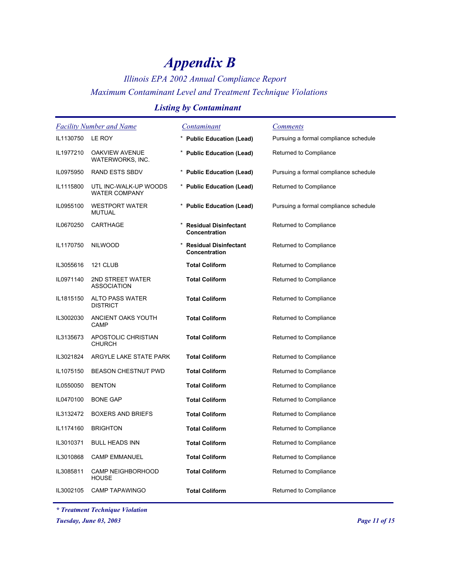## *Illinois EPA 2002 Annual Compliance Report Maximum Contaminant Level and Treatment Technique Violations*

### *Listing by Contaminant*

| <b>Facility Number and Name</b> |                                               | <u>Contaminant</u>                            | <u>Comments</u>                       |
|---------------------------------|-----------------------------------------------|-----------------------------------------------|---------------------------------------|
| IL1130750                       | LE ROY                                        | * Public Education (Lead)                     | Pursuing a formal compliance schedule |
| IL1977210                       | OAKVIEW AVENUE<br>WATERWORKS, INC.            | * Public Education (Lead)                     | Returned to Compliance                |
| IL0975950                       | <b>RAND ESTS SBDV</b>                         | * Public Education (Lead)                     | Pursuing a formal compliance schedule |
| IL1115800                       | UTL INC-WALK-UP WOODS<br><b>WATER COMPANY</b> | * Public Education (Lead)                     | Returned to Compliance                |
| IL0955100                       | <b>WESTPORT WATER</b><br><b>MUTUAL</b>        | * Public Education (Lead)                     | Pursuing a formal compliance schedule |
| IL0670250                       | CARTHAGE                                      | * Residual Disinfectant<br>Concentration      | Returned to Compliance                |
| IL1170750                       | <b>NILWOOD</b>                                | <b>Residual Disinfectant</b><br>Concentration | Returned to Compliance                |
| IL3055616                       | 121 CLUB                                      | <b>Total Coliform</b>                         | Returned to Compliance                |
| IL0971140                       | 2ND STREET WATER<br><b>ASSOCIATION</b>        | <b>Total Coliform</b>                         | Returned to Compliance                |
| IL1815150                       | <b>ALTO PASS WATER</b><br><b>DISTRICT</b>     | <b>Total Coliform</b>                         | Returned to Compliance                |
| IL3002030                       | ANCIENT OAKS YOUTH<br><b>CAMP</b>             | <b>Total Coliform</b>                         | Returned to Compliance                |
| IL3135673                       | APOSTOLIC CHRISTIAN<br><b>CHURCH</b>          | <b>Total Coliform</b>                         | Returned to Compliance                |
| IL3021824                       | ARGYLE LAKE STATE PARK                        | <b>Total Coliform</b>                         | Returned to Compliance                |
| IL1075150                       | <b>BEASON CHESTNUT PWD</b>                    | <b>Total Coliform</b>                         | Returned to Compliance                |
| IL0550050                       | <b>BENTON</b>                                 | <b>Total Coliform</b>                         | Returned to Compliance                |
| IL0470100                       | <b>BONE GAP</b>                               | <b>Total Coliform</b>                         | Returned to Compliance                |
| IL3132472                       | <b>BOXERS AND BRIEFS</b>                      | <b>Total Coliform</b>                         | Returned to Compliance                |
| IL1174160                       | <b>BRIGHTON</b>                               | <b>Total Coliform</b>                         | Returned to Compliance                |
| IL3010371                       | <b>BULL HEADS INN</b>                         | <b>Total Coliform</b>                         | Returned to Compliance                |
| IL3010868                       | <b>CAMP EMMANUEL</b>                          | <b>Total Coliform</b>                         | Returned to Compliance                |
| IL3085811                       | <b>CAMP NEIGHBORHOOD</b><br><b>HOUSE</b>      | <b>Total Coliform</b>                         | Returned to Compliance                |
| IL3002105                       | <b>CAMP TAPAWINGO</b>                         | <b>Total Coliform</b>                         | Returned to Compliance                |

*\* Treatment Technique Violation*

*Tuesday, June 03, 2003 Page 11 of 15*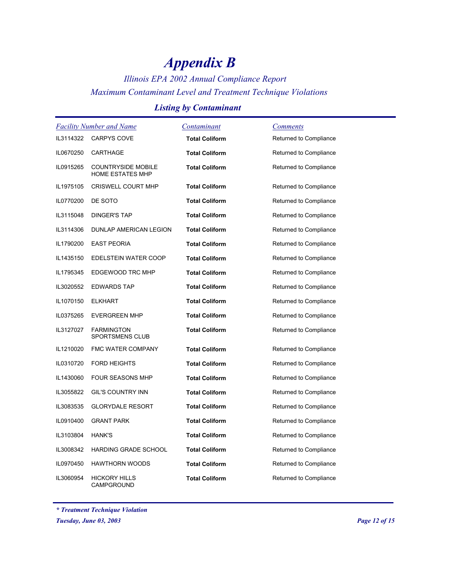*Illinois EPA 2002 Annual Compliance Report Maximum Contaminant Level and Treatment Technique Violations*

### *Listing by Contaminant*

|           | <b>Facility Number and Name</b>                      | Contaminant           | <b>Comments</b>        |
|-----------|------------------------------------------------------|-----------------------|------------------------|
|           | IL3114322 CARPYS COVE                                | <b>Total Coliform</b> | Returned to Compliance |
| IL0670250 | CARTHAGE                                             | <b>Total Coliform</b> | Returned to Compliance |
| IL0915265 | <b>COUNTRYSIDE MOBILE</b><br><b>HOME ESTATES MHP</b> | <b>Total Coliform</b> | Returned to Compliance |
| IL1975105 | <b>CRISWELL COURT MHP</b>                            | <b>Total Coliform</b> | Returned to Compliance |
| IL0770200 | DE SOTO                                              | <b>Total Coliform</b> | Returned to Compliance |
| IL3115048 | <b>DINGER'S TAP</b>                                  | <b>Total Coliform</b> | Returned to Compliance |
| IL3114306 | DUNLAP AMERICAN LEGION                               | <b>Total Coliform</b> | Returned to Compliance |
| IL1790200 | <b>EAST PEORIA</b>                                   | <b>Total Coliform</b> | Returned to Compliance |
| IL1435150 | EDELSTEIN WATER COOP                                 | <b>Total Coliform</b> | Returned to Compliance |
| IL1795345 | EDGEWOOD TRC MHP                                     | <b>Total Coliform</b> | Returned to Compliance |
| IL3020552 | <b>EDWARDS TAP</b>                                   | <b>Total Coliform</b> | Returned to Compliance |
| IL1070150 | <b>ELKHART</b>                                       | <b>Total Coliform</b> | Returned to Compliance |
| IL0375265 | <b>EVERGREEN MHP</b>                                 | <b>Total Coliform</b> | Returned to Compliance |
| IL3127027 | <b>FARMINGTON</b><br>SPORTSMENS CLUB                 | <b>Total Coliform</b> | Returned to Compliance |
| IL1210020 | FMC WATER COMPANY                                    | <b>Total Coliform</b> | Returned to Compliance |
| IL0310720 | <b>FORD HEIGHTS</b>                                  | <b>Total Coliform</b> | Returned to Compliance |
| IL1430060 | <b>FOUR SEASONS MHP</b>                              | <b>Total Coliform</b> | Returned to Compliance |
| IL3055822 | GIL'S COUNTRY INN                                    | <b>Total Coliform</b> | Returned to Compliance |
| IL3083535 | <b>GLORYDALE RESORT</b>                              | <b>Total Coliform</b> | Returned to Compliance |
| IL0910400 | <b>GRANT PARK</b>                                    | <b>Total Coliform</b> | Returned to Compliance |
| IL3103804 | HANK'S                                               | <b>Total Coliform</b> | Returned to Compliance |
| IL3008342 | <b>HARDING GRADE SCHOOL</b>                          | <b>Total Coliform</b> | Returned to Compliance |
| IL0970450 | <b>HAWTHORN WOODS</b>                                | <b>Total Coliform</b> | Returned to Compliance |
| IL3060954 | <b>HICKORY HILLS</b><br>CAMPGROUND                   | <b>Total Coliform</b> | Returned to Compliance |

*<sup>\*</sup> Treatment Technique Violation*

*Tuesday, June 03, 2003 Page 12 of 15*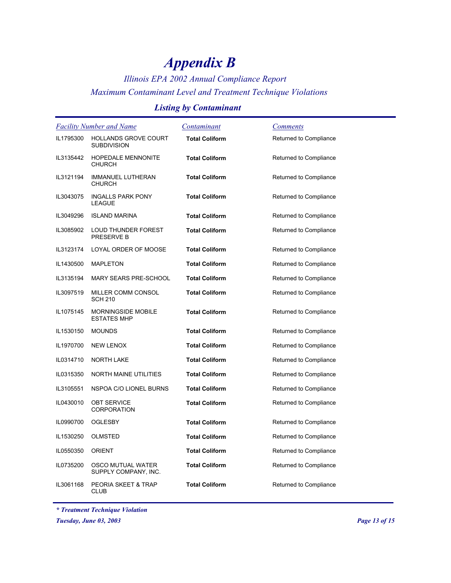*Illinois EPA 2002 Annual Compliance Report Maximum Contaminant Level and Treatment Technique Violations*

### *Listing by Contaminant*

| <b>Facility Number and Name</b> |                                                   | <b>Contaminant</b>    | <b>Comments</b>        |
|---------------------------------|---------------------------------------------------|-----------------------|------------------------|
| IL1795300                       | <b>HOLLANDS GROVE COURT</b><br><b>SUBDIVISION</b> | <b>Total Coliform</b> | Returned to Compliance |
| IL3135442                       | HOPEDALE MENNONITE<br><b>CHURCH</b>               | <b>Total Coliform</b> | Returned to Compliance |
| IL3121194                       | <b>IMMANUEL LUTHERAN</b><br><b>CHURCH</b>         | <b>Total Coliform</b> | Returned to Compliance |
| IL3043075                       | <b>INGALLS PARK PONY</b><br><b>LEAGUE</b>         | <b>Total Coliform</b> | Returned to Compliance |
| IL3049296                       | <b>ISLAND MARINA</b>                              | <b>Total Coliform</b> | Returned to Compliance |
| IL3085902                       | LOUD THUNDER FOREST<br>PRESERVE B                 | <b>Total Coliform</b> | Returned to Compliance |
| IL3123174                       | LOYAL ORDER OF MOOSE                              | <b>Total Coliform</b> | Returned to Compliance |
| IL1430500                       | <b>MAPLETON</b>                                   | <b>Total Coliform</b> | Returned to Compliance |
| IL3135194                       | MARY SEARS PRE-SCHOOL                             | <b>Total Coliform</b> | Returned to Compliance |
| IL3097519                       | MILLER COMM CONSOL<br><b>SCH 210</b>              | <b>Total Coliform</b> | Returned to Compliance |
| IL1075145                       | <b>MORNINGSIDE MOBILE</b><br><b>ESTATES MHP</b>   | <b>Total Coliform</b> | Returned to Compliance |
| IL1530150                       | <b>MOUNDS</b>                                     | <b>Total Coliform</b> | Returned to Compliance |
| IL1970700                       | <b>NEW LENOX</b>                                  | <b>Total Coliform</b> | Returned to Compliance |
| IL0314710                       | <b>NORTH LAKE</b>                                 | <b>Total Coliform</b> | Returned to Compliance |
| IL0315350                       | NORTH MAINE UTILITIES                             | <b>Total Coliform</b> | Returned to Compliance |
| IL3105551                       | NSPOA C/O LIONEL BURNS                            | <b>Total Coliform</b> | Returned to Compliance |
| IL0430010                       | <b>OBT SERVICE</b><br><b>CORPORATION</b>          | <b>Total Coliform</b> | Returned to Compliance |
| IL0990700                       | <b>OGLESBY</b>                                    | <b>Total Coliform</b> | Returned to Compliance |
| IL1530250                       | <b>OLMSTED</b>                                    | <b>Total Coliform</b> | Returned to Compliance |
| IL0550350                       | <b>ORIENT</b>                                     | <b>Total Coliform</b> | Returned to Compliance |
| IL0735200                       | <b>OSCO MUTUAL WATER</b><br>SUPPLY COMPANY, INC.  | <b>Total Coliform</b> | Returned to Compliance |
| IL3061168                       | PEORIA SKEET & TRAP<br><b>CLUB</b>                | <b>Total Coliform</b> | Returned to Compliance |

*\* Treatment Technique Violation*

*Tuesday, June 03, 2003 Page 13 of 15*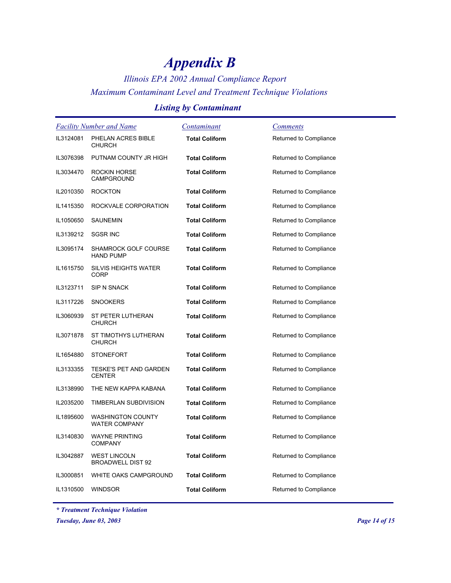*Illinois EPA 2002 Annual Compliance Report Maximum Contaminant Level and Treatment Technique Violations*

### *Listing by Contaminant*

| <b>Facility Number and Name</b> |                                                  | Contaminant           | <b>Comments</b>        |
|---------------------------------|--------------------------------------------------|-----------------------|------------------------|
| IL3124081                       | PHELAN ACRES BIBLE<br><b>CHURCH</b>              | <b>Total Coliform</b> | Returned to Compliance |
| IL3076398                       | PUTNAM COUNTY JR HIGH                            | <b>Total Coliform</b> | Returned to Compliance |
| IL3034470                       | <b>ROCKIN HORSE</b><br><b>CAMPGROUND</b>         | <b>Total Coliform</b> | Returned to Compliance |
| IL2010350                       | <b>ROCKTON</b>                                   | <b>Total Coliform</b> | Returned to Compliance |
| IL1415350                       | ROCKVALE CORPORATION                             | <b>Total Coliform</b> | Returned to Compliance |
| IL1050650                       | <b>SAUNEMIN</b>                                  | <b>Total Coliform</b> | Returned to Compliance |
| IL3139212                       | <b>SGSR INC</b>                                  | <b>Total Coliform</b> | Returned to Compliance |
| IL3095174                       | SHAMROCK GOLF COURSE<br><b>HAND PUMP</b>         | <b>Total Coliform</b> | Returned to Compliance |
| IL1615750                       | <b>SILVIS HEIGHTS WATER</b><br><b>CORP</b>       | <b>Total Coliform</b> | Returned to Compliance |
| IL3123711                       | SIP N SNACK                                      | <b>Total Coliform</b> | Returned to Compliance |
| IL3117226                       | <b>SNOOKERS</b>                                  | <b>Total Coliform</b> | Returned to Compliance |
| IL3060939                       | ST PETER LUTHERAN<br><b>CHURCH</b>               | <b>Total Coliform</b> | Returned to Compliance |
| IL3071878                       | ST TIMOTHYS LUTHERAN<br><b>CHURCH</b>            | <b>Total Coliform</b> | Returned to Compliance |
| IL1654880                       | <b>STONEFORT</b>                                 | <b>Total Coliform</b> | Returned to Compliance |
| IL3133355                       | <b>TESKE'S PET AND GARDEN</b><br><b>CENTER</b>   | <b>Total Coliform</b> | Returned to Compliance |
| IL3138990                       | THE NEW KAPPA KABANA                             | <b>Total Coliform</b> | Returned to Compliance |
| IL2035200                       | TIMBERLAN SUBDIVISION                            | <b>Total Coliform</b> | Returned to Compliance |
| IL1895600                       | <b>WASHINGTON COUNTY</b><br><b>WATER COMPANY</b> | <b>Total Coliform</b> | Returned to Compliance |
| IL3140830                       | <b>WAYNE PRINTING</b><br><b>COMPANY</b>          | <b>Total Coliform</b> | Returned to Compliance |
| IL3042887                       | <b>WEST LINCOLN</b><br><b>BROADWELL DIST 92</b>  | <b>Total Coliform</b> | Returned to Compliance |
| IL3000851                       | WHITE OAKS CAMPGROUND                            | <b>Total Coliform</b> | Returned to Compliance |
| IL1310500                       | <b>WINDSOR</b>                                   | <b>Total Coliform</b> | Returned to Compliance |

*\* Treatment Technique Violation*

*Tuesday, June 03, 2003 Page 14 of 15*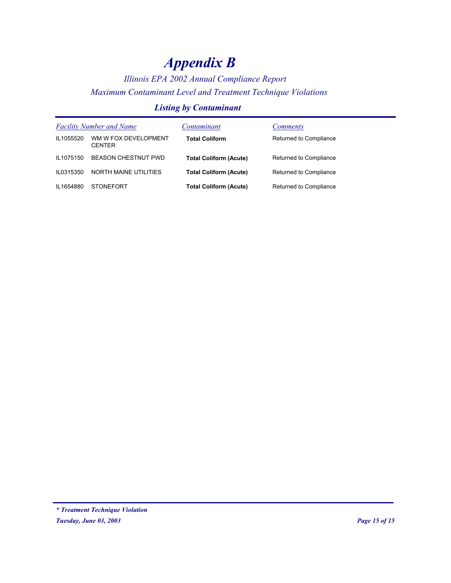## *Illinois EPA 2002 Annual Compliance Report Maximum Contaminant Level and Treatment Technique Violations*

### *Listing by Contaminant*

|           | <b>Facility Number and Name</b>       | Contaminant                   | <i>Comments</i>        |
|-----------|---------------------------------------|-------------------------------|------------------------|
| IL1055520 | WM W FOX DEVELOPMENT<br><b>CENTER</b> | <b>Total Coliform</b>         | Returned to Compliance |
| IL1075150 | <b>BEASON CHESTNUT PWD</b>            | <b>Total Coliform (Acute)</b> | Returned to Compliance |
| IL0315350 | NORTH MAINE UTILITIES                 | <b>Total Coliform (Acute)</b> | Returned to Compliance |
| IL1654880 | <b>STONEFORT</b>                      | <b>Total Coliform (Acute)</b> | Returned to Compliance |

*Tuesday, June 03, 2003 Page 15 of 15 \* Treatment Technique Violation*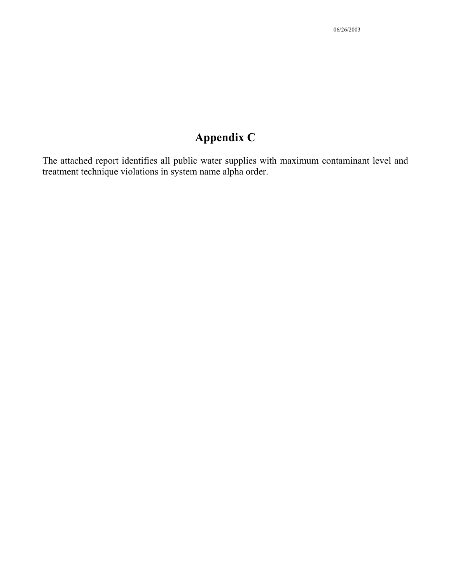The attached report identifies all public water supplies with maximum contaminant level and treatment technique violations in system name alpha order.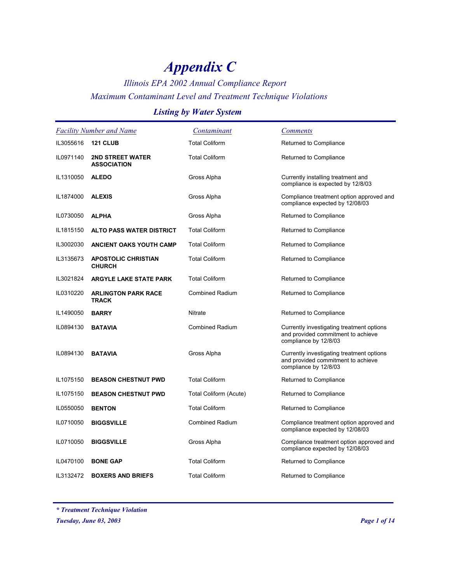### *Illinois EPA 2002 Annual Compliance Report Maximum Contaminant Level and Treatment Technique Violations*

### *Listing by Water System*

|           | <b>Facility Number and Name</b>               | Contaminant            | <b>Comments</b>                                                                                          |
|-----------|-----------------------------------------------|------------------------|----------------------------------------------------------------------------------------------------------|
| IL3055616 | <b>121 CLUB</b>                               | <b>Total Coliform</b>  | Returned to Compliance                                                                                   |
| IL0971140 | <b>2ND STREET WATER</b><br><b>ASSOCIATION</b> | <b>Total Coliform</b>  | Returned to Compliance                                                                                   |
| IL1310050 | <b>ALEDO</b>                                  | Gross Alpha            | Currently installing treatment and<br>compliance is expected by 12/8/03                                  |
| IL1874000 | <b>ALEXIS</b>                                 | Gross Alpha            | Compliance treatment option approved and<br>compliance expected by 12/08/03                              |
| IL0730050 | <b>ALPHA</b>                                  | Gross Alpha            | Returned to Compliance                                                                                   |
| IL1815150 | <b>ALTO PASS WATER DISTRICT</b>               | <b>Total Coliform</b>  | Returned to Compliance                                                                                   |
| IL3002030 | <b>ANCIENT OAKS YOUTH CAMP</b>                | <b>Total Coliform</b>  | Returned to Compliance                                                                                   |
| IL3135673 | <b>APOSTOLIC CHRISTIAN</b><br><b>CHURCH</b>   | <b>Total Coliform</b>  | Returned to Compliance                                                                                   |
| IL3021824 | <b>ARGYLE LAKE STATE PARK</b>                 | <b>Total Coliform</b>  | Returned to Compliance                                                                                   |
| IL0310220 | <b>ARLINGTON PARK RACE</b><br><b>TRACK</b>    | <b>Combined Radium</b> | Returned to Compliance                                                                                   |
| IL1490050 | <b>BARRY</b>                                  | Nitrate                | Returned to Compliance                                                                                   |
| IL0894130 | <b>BATAVIA</b>                                | <b>Combined Radium</b> | Currently investigating treatment options<br>and provided commitment to achieve<br>compliance by 12/8/03 |
| IL0894130 | <b>BATAVIA</b>                                | Gross Alpha            | Currently investigating treatment options<br>and provided commitment to achieve<br>compliance by 12/8/03 |
| IL1075150 | <b>BEASON CHESTNUT PWD</b>                    | <b>Total Coliform</b>  | Returned to Compliance                                                                                   |
| IL1075150 | <b>BEASON CHESTNUT PWD</b>                    | Total Coliform (Acute) | Returned to Compliance                                                                                   |
| IL0550050 | <b>BENTON</b>                                 | <b>Total Coliform</b>  | Returned to Compliance                                                                                   |
| IL0710050 | <b>BIGGSVILLE</b>                             | <b>Combined Radium</b> | Compliance treatment option approved and<br>compliance expected by 12/08/03                              |
| IL0710050 | <b>BIGGSVILLE</b>                             | Gross Alpha            | Compliance treatment option approved and<br>compliance expected by 12/08/03                              |
| IL0470100 | <b>BONE GAP</b>                               | <b>Total Coliform</b>  | Returned to Compliance                                                                                   |
| IL3132472 | <b>BOXERS AND BRIEFS</b>                      | <b>Total Coliform</b>  | Returned to Compliance                                                                                   |

*\* Treatment Technique Violation*

*Tuesday, June 03, 2003 Page 1 of 14*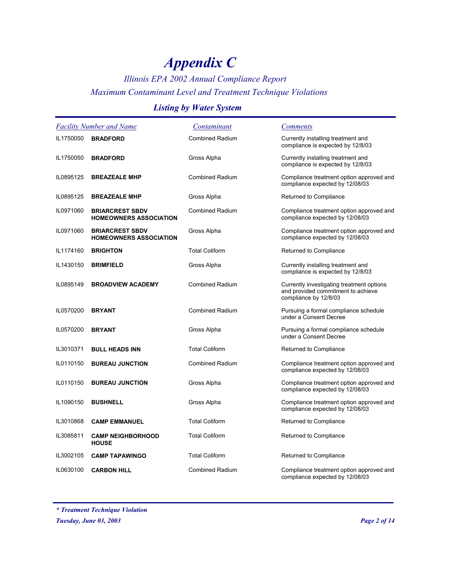## *Illinois EPA 2002 Annual Compliance Report Maximum Contaminant Level and Treatment Technique Violations*

### *Listing by Water System*

|           | <b>Facility Number and Name</b>                         | Contaminant            | <i>Comments</i>                                                                                          |
|-----------|---------------------------------------------------------|------------------------|----------------------------------------------------------------------------------------------------------|
| IL1750050 | <b>BRADFORD</b>                                         | <b>Combined Radium</b> | Currently installing treatment and<br>compliance is expected by 12/8/03                                  |
| IL1750050 | <b>BRADFORD</b>                                         | Gross Alpha            | Currently installing treatment and<br>compliance is expected by 12/8/03                                  |
| IL0895125 | <b>BREAZEALE MHP</b>                                    | <b>Combined Radium</b> | Compliance treatment option approved and<br>compliance expected by 12/08/03                              |
| IL0895125 | <b>BREAZEALE MHP</b>                                    | Gross Alpha            | Returned to Compliance                                                                                   |
| IL0971060 | <b>BRIARCREST SBDV</b><br><b>HOMEOWNERS ASSOCIATION</b> | <b>Combined Radium</b> | Compliance treatment option approved and<br>compliance expected by 12/08/03                              |
| IL0971060 | <b>BRIARCREST SBDV</b><br><b>HOMEOWNERS ASSOCIATION</b> | Gross Alpha            | Compliance treatment option approved and<br>compliance expected by 12/08/03                              |
| IL1174160 | <b>BRIGHTON</b>                                         | <b>Total Coliform</b>  | Returned to Compliance                                                                                   |
| IL1430150 | <b>BRIMFIELD</b>                                        | Gross Alpha            | Currently installing treatment and<br>compliance is expected by 12/8/03                                  |
| IL0895149 | <b>BROADVIEW ACADEMY</b>                                | <b>Combined Radium</b> | Currently investigating treatment options<br>and provided commitment to achieve<br>compliance by 12/8/03 |
| IL0570200 | <b>BRYANT</b>                                           | <b>Combined Radium</b> | Pursuing a formal compliance schedule<br>under a Consent Decree                                          |
| IL0570200 | <b>BRYANT</b>                                           | Gross Alpha            | Pursuing a formal compliance schedule<br>under a Consent Decree                                          |
| IL3010371 | <b>BULL HEADS INN</b>                                   | <b>Total Coliform</b>  | Returned to Compliance                                                                                   |
| IL0110150 | <b>BUREAU JUNCTION</b>                                  | <b>Combined Radium</b> | Compliance treatment option approved and<br>compliance expected by 12/08/03                              |
| IL0110150 | <b>BUREAU JUNCTION</b>                                  | Gross Alpha            | Compliance treatment option approved and<br>compliance expected by 12/08/03                              |
| IL1090150 | <b>BUSHNELL</b>                                         | Gross Alpha            | Compliance treatment option approved and<br>compliance expected by 12/08/03                              |
| IL3010868 | <b>CAMP EMMANUEL</b>                                    | <b>Total Coliform</b>  | Returned to Compliance                                                                                   |
| IL3085811 | <b>CAMP NEIGHBORHOOD</b><br><b>HOUSE</b>                | <b>Total Coliform</b>  | Returned to Compliance                                                                                   |
| IL3002105 | <b>CAMP TAPAWINGO</b>                                   | <b>Total Coliform</b>  | Returned to Compliance                                                                                   |
| IL0630100 | <b>CARBON HILL</b>                                      | <b>Combined Radium</b> | Compliance treatment option approved and<br>compliance expected by 12/08/03                              |

*<sup>\*</sup> Treatment Technique Violation*

*Tuesday, June 03, 2003 Page 2 of 14*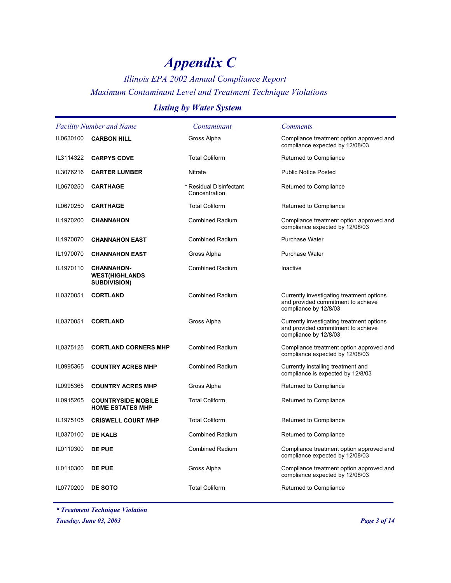## *Illinois EPA 2002 Annual Compliance Report Maximum Contaminant Level and Treatment Technique Violations*

### *Listing by Water System*

|           | <b>Facility Number and Name</b>                                   | <u>Contaminant</u>                       | <b>Comments</b>                                                                                          |
|-----------|-------------------------------------------------------------------|------------------------------------------|----------------------------------------------------------------------------------------------------------|
| IL0630100 | <b>CARBON HILL</b>                                                | Gross Alpha                              | Compliance treatment option approved and<br>compliance expected by 12/08/03                              |
| IL3114322 | <b>CARPYS COVE</b>                                                | <b>Total Coliform</b>                    | Returned to Compliance                                                                                   |
| IL3076216 | <b>CARTER LUMBER</b>                                              | <b>Nitrate</b>                           | <b>Public Notice Posted</b>                                                                              |
| IL0670250 | <b>CARTHAGE</b>                                                   | * Residual Disinfectant<br>Concentration | Returned to Compliance                                                                                   |
| IL0670250 | <b>CARTHAGE</b>                                                   | <b>Total Coliform</b>                    | Returned to Compliance                                                                                   |
| IL1970200 | <b>CHANNAHON</b>                                                  | <b>Combined Radium</b>                   | Compliance treatment option approved and<br>compliance expected by 12/08/03                              |
| IL1970070 | <b>CHANNAHON EAST</b>                                             | <b>Combined Radium</b>                   | <b>Purchase Water</b>                                                                                    |
| IL1970070 | <b>CHANNAHON EAST</b>                                             | Gross Alpha                              | <b>Purchase Water</b>                                                                                    |
| IL1970110 | <b>CHANNAHON-</b><br><b>WEST(HIGHLANDS</b><br><b>SUBDIVISION)</b> | <b>Combined Radium</b>                   | Inactive                                                                                                 |
| IL0370051 | <b>CORTLAND</b>                                                   | <b>Combined Radium</b>                   | Currently investigating treatment options<br>and provided commitment to achieve<br>compliance by 12/8/03 |
| IL0370051 | <b>CORTLAND</b>                                                   | Gross Alpha                              | Currently investigating treatment options<br>and provided commitment to achieve<br>compliance by 12/8/03 |
| IL0375125 | <b>CORTLAND CORNERS MHP</b>                                       | <b>Combined Radium</b>                   | Compliance treatment option approved and<br>compliance expected by 12/08/03                              |
| IL0995365 | <b>COUNTRY ACRES MHP</b>                                          | <b>Combined Radium</b>                   | Currently installing treatment and<br>compliance is expected by 12/8/03                                  |
| IL0995365 | <b>COUNTRY ACRES MHP</b>                                          | Gross Alpha                              | Returned to Compliance                                                                                   |
| IL0915265 | <b>COUNTRYSIDE MOBILE</b><br><b>HOME ESTATES MHP</b>              | <b>Total Coliform</b>                    | Returned to Compliance                                                                                   |
| IL1975105 | <b>CRISWELL COURT MHP</b>                                         | <b>Total Coliform</b>                    | Returned to Compliance                                                                                   |
| IL0370100 | <b>DE KALB</b>                                                    | <b>Combined Radium</b>                   | Returned to Compliance                                                                                   |
| IL0110300 | <b>DE PUE</b>                                                     | <b>Combined Radium</b>                   | Compliance treatment option approved and<br>compliance expected by 12/08/03                              |
| IL0110300 | <b>DE PUE</b>                                                     | Gross Alpha                              | Compliance treatment option approved and<br>compliance expected by 12/08/03                              |
| IL0770200 | DE SOTO                                                           | <b>Total Coliform</b>                    | Returned to Compliance                                                                                   |

*\* Treatment Technique Violation*

*Tuesday, June 03, 2003 Page 3 of 14*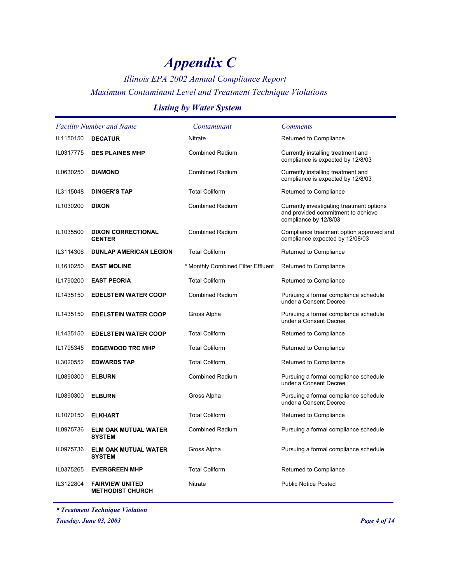## *Illinois EPA 2002 Annual Compliance Report Maximum Contaminant Level and Treatment Technique Violations*

### *Listing by Water System*

|           | <b>Facility Number and Name</b>                   | Contaminant                        | <b>Comments</b>                                                                                          |
|-----------|---------------------------------------------------|------------------------------------|----------------------------------------------------------------------------------------------------------|
| IL1150150 | <b>DECATUR</b>                                    | <b>Nitrate</b>                     | Returned to Compliance                                                                                   |
| IL0317775 | <b>DES PLAINES MHP</b>                            | <b>Combined Radium</b>             | Currently installing treatment and<br>compliance is expected by 12/8/03                                  |
| IL0630250 | <b>DIAMOND</b>                                    | <b>Combined Radium</b>             | Currently installing treatment and<br>compliance is expected by 12/8/03                                  |
| IL3115048 | <b>DINGER'S TAP</b>                               | <b>Total Coliform</b>              | Returned to Compliance                                                                                   |
| IL1030200 | <b>DIXON</b>                                      | <b>Combined Radium</b>             | Currently investigating treatment options<br>and provided commitment to achieve<br>compliance by 12/8/03 |
| IL1035500 | <b>DIXON CORRECTIONAL</b><br><b>CENTER</b>        | <b>Combined Radium</b>             | Compliance treatment option approved and<br>compliance expected by 12/08/03                              |
| IL3114306 | <b>DUNLAP AMERICAN LEGION</b>                     | <b>Total Coliform</b>              | Returned to Compliance                                                                                   |
| IL1610250 | <b>EAST MOLINE</b>                                | * Monthly Combined Filter Effluent | Returned to Compliance                                                                                   |
| IL1790200 | <b>EAST PEORIA</b>                                | <b>Total Coliform</b>              | Returned to Compliance                                                                                   |
| IL1435150 | <b>EDELSTEIN WATER COOP</b>                       | <b>Combined Radium</b>             | Pursuing a formal compliance schedule<br>under a Consent Decree                                          |
| IL1435150 | <b>EDELSTEIN WATER COOP</b>                       | Gross Alpha                        | Pursuing a formal compliance schedule<br>under a Consent Decree                                          |
| IL1435150 | <b>EDELSTEIN WATER COOP</b>                       | <b>Total Coliform</b>              | Returned to Compliance                                                                                   |
| IL1795345 | <b>EDGEWOOD TRC MHP</b>                           | <b>Total Coliform</b>              | Returned to Compliance                                                                                   |
| IL3020552 | <b>EDWARDS TAP</b>                                | <b>Total Coliform</b>              | Returned to Compliance                                                                                   |
| IL0890300 | <b>ELBURN</b>                                     | <b>Combined Radium</b>             | Pursuing a formal compliance schedule<br>under a Consent Decree                                          |
| IL0890300 | <b>ELBURN</b>                                     | Gross Alpha                        | Pursuing a formal compliance schedule<br>under a Consent Decree                                          |
| IL1070150 | <b>ELKHART</b>                                    | <b>Total Coliform</b>              | Returned to Compliance                                                                                   |
| IL0975736 | <b>ELM OAK MUTUAL WATER</b><br><b>SYSTEM</b>      | <b>Combined Radium</b>             | Pursuing a formal compliance schedule                                                                    |
| IL0975736 | <b>ELM OAK MUTUAL WATER</b><br><b>SYSTEM</b>      | Gross Alpha                        | Pursuing a formal compliance schedule                                                                    |
| IL0375265 | <b>EVERGREEN MHP</b>                              | <b>Total Coliform</b>              | Returned to Compliance                                                                                   |
| IL3122804 | <b>FAIRVIEW UNITED</b><br><b>METHODIST CHURCH</b> | Nitrate                            | <b>Public Notice Posted</b>                                                                              |

*\* Treatment Technique Violation*

*Tuesday, June 03, 2003 Page 4 of 14*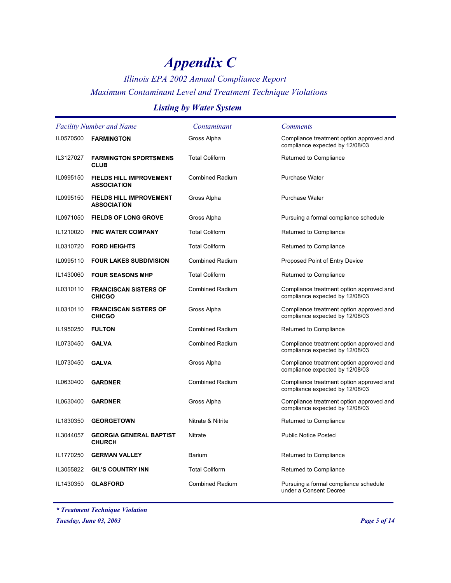### *Illinois EPA 2002 Annual Compliance Report Maximum Contaminant Level and Treatment Technique Violations*

### *Listing by Water System*

| <b>Facility Number and Name</b> |                                                      | Contaminant            | <b>Comments</b>                                                             |
|---------------------------------|------------------------------------------------------|------------------------|-----------------------------------------------------------------------------|
| IL0570500                       | <b>FARMINGTON</b>                                    | Gross Alpha            | Compliance treatment option approved and<br>compliance expected by 12/08/03 |
| IL3127027                       | <b>FARMINGTON SPORTSMENS</b><br><b>CLUB</b>          | <b>Total Coliform</b>  | Returned to Compliance                                                      |
| IL0995150                       | <b>FIELDS HILL IMPROVEMENT</b><br><b>ASSOCIATION</b> | <b>Combined Radium</b> | <b>Purchase Water</b>                                                       |
| IL0995150                       | <b>FIELDS HILL IMPROVEMENT</b><br><b>ASSOCIATION</b> | Gross Alpha            | <b>Purchase Water</b>                                                       |
| IL0971050                       | <b>FIELDS OF LONG GROVE</b>                          | Gross Alpha            | Pursuing a formal compliance schedule                                       |
| IL1210020                       | <b>FMC WATER COMPANY</b>                             | <b>Total Coliform</b>  | Returned to Compliance                                                      |
| IL0310720                       | <b>FORD HEIGHTS</b>                                  | <b>Total Coliform</b>  | Returned to Compliance                                                      |
| IL0995110                       | <b>FOUR LAKES SUBDIVISION</b>                        | <b>Combined Radium</b> | Proposed Point of Entry Device                                              |
| IL1430060                       | <b>FOUR SEASONS MHP</b>                              | <b>Total Coliform</b>  | Returned to Compliance                                                      |
| IL0310110                       | <b>FRANCISCAN SISTERS OF</b><br><b>CHICGO</b>        | <b>Combined Radium</b> | Compliance treatment option approved and<br>compliance expected by 12/08/03 |
| IL0310110                       | <b>FRANCISCAN SISTERS OF</b><br><b>CHICGO</b>        | Gross Alpha            | Compliance treatment option approved and<br>compliance expected by 12/08/03 |
| IL1950250                       | <b>FULTON</b>                                        | <b>Combined Radium</b> | Returned to Compliance                                                      |
| IL0730450                       | <b>GALVA</b>                                         | <b>Combined Radium</b> | Compliance treatment option approved and<br>compliance expected by 12/08/03 |
| IL0730450                       | <b>GALVA</b>                                         | Gross Alpha            | Compliance treatment option approved and<br>compliance expected by 12/08/03 |
| IL0630400                       | <b>GARDNER</b>                                       | <b>Combined Radium</b> | Compliance treatment option approved and<br>compliance expected by 12/08/03 |
| IL0630400                       | <b>GARDNER</b>                                       | Gross Alpha            | Compliance treatment option approved and<br>compliance expected by 12/08/03 |
| IL1830350                       | <b>GEORGETOWN</b>                                    | Nitrate & Nitrite      | Returned to Compliance                                                      |
| IL3044057                       | <b>GEORGIA GENERAL BAPTIST</b><br><b>CHURCH</b>      | Nitrate                | <b>Public Notice Posted</b>                                                 |
| IL1770250                       | <b>GERMAN VALLEY</b>                                 | Barium                 | Returned to Compliance                                                      |
| IL3055822                       | <b>GIL'S COUNTRY INN</b>                             | <b>Total Coliform</b>  | Returned to Compliance                                                      |
| IL1430350                       | <b>GLASFORD</b>                                      | Combined Radium        | Pursuing a formal compliance schedule<br>under a Consent Decree             |

*\* Treatment Technique Violation*

*Tuesday, June 03, 2003 Page 5 of 14*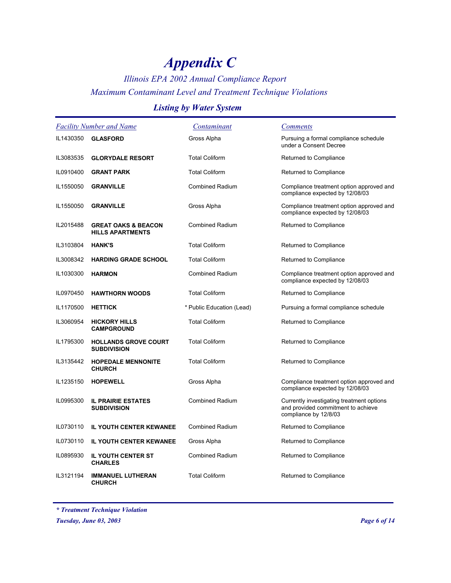## *Illinois EPA 2002 Annual Compliance Report Maximum Contaminant Level and Treatment Technique Violations*

### *Listing by Water System*

|           | <b>Facility Number and Name</b>                           | Contaminant               | <b>Comments</b>                                                                                          |
|-----------|-----------------------------------------------------------|---------------------------|----------------------------------------------------------------------------------------------------------|
| IL1430350 | <b>GLASFORD</b>                                           | Gross Alpha               | Pursuing a formal compliance schedule<br>under a Consent Decree                                          |
| IL3083535 | <b>GLORYDALE RESORT</b>                                   | <b>Total Coliform</b>     | Returned to Compliance                                                                                   |
| IL0910400 | <b>GRANT PARK</b>                                         | <b>Total Coliform</b>     | Returned to Compliance                                                                                   |
| IL1550050 | <b>GRANVILLE</b>                                          | <b>Combined Radium</b>    | Compliance treatment option approved and<br>compliance expected by 12/08/03                              |
| IL1550050 | <b>GRANVILLE</b>                                          | Gross Alpha               | Compliance treatment option approved and<br>compliance expected by 12/08/03                              |
| IL2015488 | <b>GREAT OAKS &amp; BEACON</b><br><b>HILLS APARTMENTS</b> | <b>Combined Radium</b>    | Returned to Compliance                                                                                   |
| IL3103804 | <b>HANK'S</b>                                             | <b>Total Coliform</b>     | Returned to Compliance                                                                                   |
| IL3008342 | <b>HARDING GRADE SCHOOL</b>                               | <b>Total Coliform</b>     | Returned to Compliance                                                                                   |
| IL1030300 | <b>HARMON</b>                                             | <b>Combined Radium</b>    | Compliance treatment option approved and<br>compliance expected by 12/08/03                              |
| IL0970450 | <b>HAWTHORN WOODS</b>                                     | <b>Total Coliform</b>     | Returned to Compliance                                                                                   |
| IL1170500 | <b>HETTICK</b>                                            | * Public Education (Lead) | Pursuing a formal compliance schedule                                                                    |
| IL3060954 | <b>HICKORY HILLS</b><br><b>CAMPGROUND</b>                 | <b>Total Coliform</b>     | Returned to Compliance                                                                                   |
| IL1795300 | <b>HOLLANDS GROVE COURT</b><br><b>SUBDIVISION</b>         | <b>Total Coliform</b>     | Returned to Compliance                                                                                   |
| IL3135442 | <b>HOPEDALE MENNONITE</b><br><b>CHURCH</b>                | <b>Total Coliform</b>     | Returned to Compliance                                                                                   |
| IL1235150 | <b>HOPEWELL</b>                                           | Gross Alpha               | Compliance treatment option approved and<br>compliance expected by 12/08/03                              |
| IL0995300 | <b>IL PRAIRIE ESTATES</b><br><b>SUBDIVISION</b>           | <b>Combined Radium</b>    | Currently investigating treatment options<br>and provided commitment to achieve<br>compliance by 12/8/03 |
| IL0730110 | <b>IL YOUTH CENTER KEWANEE</b>                            | <b>Combined Radium</b>    | Returned to Compliance                                                                                   |
| IL0730110 | <b>IL YOUTH CENTER KEWANEE</b>                            | Gross Alpha               | Returned to Compliance                                                                                   |
| IL0895930 | <b>IL YOUTH CENTER ST</b><br><b>CHARLES</b>               | <b>Combined Radium</b>    | Returned to Compliance                                                                                   |
| IL3121194 | <b>IMMANUEL LUTHERAN</b><br><b>CHURCH</b>                 | <b>Total Coliform</b>     | Returned to Compliance                                                                                   |

*<sup>\*</sup> Treatment Technique Violation*

*Tuesday, June 03, 2003 Page 6 of 14*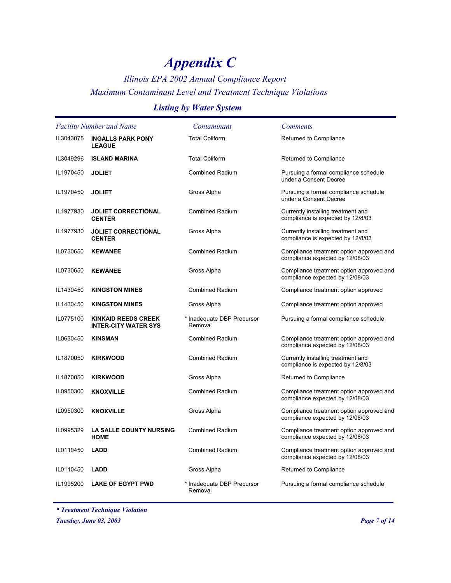### *Illinois EPA 2002 Annual Compliance Report Maximum Contaminant Level and Treatment Technique Violations*

### *Listing by Water System*

| <b>Facility Number and Name</b> |                                                           | Contaminant                           | <b>Comments</b>                                                             |
|---------------------------------|-----------------------------------------------------------|---------------------------------------|-----------------------------------------------------------------------------|
| IL3043075                       | <b>INGALLS PARK PONY</b><br><b>LEAGUE</b>                 | <b>Total Coliform</b>                 | Returned to Compliance                                                      |
| IL3049296                       | <b>ISLAND MARINA</b>                                      | <b>Total Coliform</b>                 | Returned to Compliance                                                      |
| IL1970450                       | <b>JOLIET</b>                                             | <b>Combined Radium</b>                | Pursuing a formal compliance schedule<br>under a Consent Decree             |
| IL1970450                       | <b>JOLIET</b>                                             | Gross Alpha                           | Pursuing a formal compliance schedule<br>under a Consent Decree             |
| IL1977930                       | <b>JOLIET CORRECTIONAL</b><br><b>CENTER</b>               | <b>Combined Radium</b>                | Currently installing treatment and<br>compliance is expected by 12/8/03     |
| IL1977930                       | <b>JOLIET CORRECTIONAL</b><br><b>CENTER</b>               | Gross Alpha                           | Currently installing treatment and<br>compliance is expected by 12/8/03     |
| IL0730650                       | <b>KEWANEE</b>                                            | <b>Combined Radium</b>                | Compliance treatment option approved and<br>compliance expected by 12/08/03 |
| IL0730650                       | <b>KEWANEE</b>                                            | Gross Alpha                           | Compliance treatment option approved and<br>compliance expected by 12/08/03 |
| IL1430450                       | <b>KINGSTON MINES</b>                                     | Combined Radium                       | Compliance treatment option approved                                        |
| IL1430450                       | <b>KINGSTON MINES</b>                                     | Gross Alpha                           | Compliance treatment option approved                                        |
| IL0775100                       | <b>KINKAID REEDS CREEK</b><br><b>INTER-CITY WATER SYS</b> | * Inadequate DBP Precursor<br>Removal | Pursuing a formal compliance schedule                                       |
| IL0630450                       | <b>KINSMAN</b>                                            | <b>Combined Radium</b>                | Compliance treatment option approved and<br>compliance expected by 12/08/03 |
| IL1870050                       | <b>KIRKWOOD</b>                                           | <b>Combined Radium</b>                | Currently installing treatment and<br>compliance is expected by 12/8/03     |
| IL1870050                       | <b>KIRKWOOD</b>                                           | Gross Alpha                           | Returned to Compliance                                                      |
| IL0950300                       | <b>KNOXVILLE</b>                                          | <b>Combined Radium</b>                | Compliance treatment option approved and<br>compliance expected by 12/08/03 |
| IL0950300                       | <b>KNOXVILLE</b>                                          | Gross Alpha                           | Compliance treatment option approved and<br>compliance expected by 12/08/03 |
| IL0995329                       | <b>LA SALLE COUNTY NURSING</b><br><b>HOME</b>             | <b>Combined Radium</b>                | Compliance treatment option approved and<br>compliance expected by 12/08/03 |
| IL0110450                       | <b>LADD</b>                                               | <b>Combined Radium</b>                | Compliance treatment option approved and<br>compliance expected by 12/08/03 |
| IL0110450                       | <b>LADD</b>                                               | Gross Alpha                           | Returned to Compliance                                                      |
| IL1995200                       | <b>LAKE OF EGYPT PWD</b>                                  | * Inadequate DBP Precursor<br>Removal | Pursuing a formal compliance schedule                                       |

*\* Treatment Technique Violation*

*Tuesday, June 03, 2003 Page 7 of 14*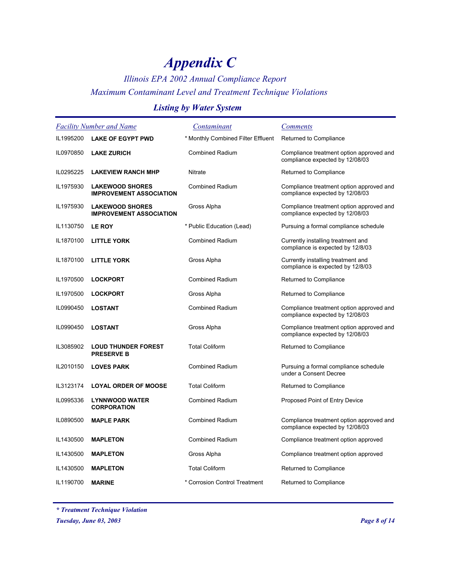### *Illinois EPA 2002 Annual Compliance Report Maximum Contaminant Level and Treatment Technique Violations*

### *Listing by Water System*

| <b>Facility Number and Name</b> |                                                          | Contaminant                        | <b>Comments</b>                                                             |
|---------------------------------|----------------------------------------------------------|------------------------------------|-----------------------------------------------------------------------------|
| IL1995200                       | <b>LAKE OF EGYPT PWD</b>                                 | * Monthly Combined Filter Effluent | Returned to Compliance                                                      |
| IL0970850                       | <b>LAKE ZURICH</b>                                       | <b>Combined Radium</b>             | Compliance treatment option approved and<br>compliance expected by 12/08/03 |
| IL0295225                       | <b>LAKEVIEW RANCH MHP</b>                                | Nitrate                            | Returned to Compliance                                                      |
| IL1975930                       | <b>LAKEWOOD SHORES</b><br><b>IMPROVEMENT ASSOCIATION</b> | <b>Combined Radium</b>             | Compliance treatment option approved and<br>compliance expected by 12/08/03 |
| IL1975930                       | <b>LAKEWOOD SHORES</b><br><b>IMPROVEMENT ASSOCIATION</b> | Gross Alpha                        | Compliance treatment option approved and<br>compliance expected by 12/08/03 |
| IL1130750                       | <b>LE ROY</b>                                            | * Public Education (Lead)          | Pursuing a formal compliance schedule                                       |
| IL1870100                       | <b>LITTLE YORK</b>                                       | <b>Combined Radium</b>             | Currently installing treatment and<br>compliance is expected by 12/8/03     |
| IL1870100                       | <b>LITTLE YORK</b>                                       | Gross Alpha                        | Currently installing treatment and<br>compliance is expected by 12/8/03     |
| IL1970500                       | <b>LOCKPORT</b>                                          | <b>Combined Radium</b>             | Returned to Compliance                                                      |
| IL1970500                       | <b>LOCKPORT</b>                                          | Gross Alpha                        | Returned to Compliance                                                      |
| IL0990450                       | <b>LOSTANT</b>                                           | <b>Combined Radium</b>             | Compliance treatment option approved and<br>compliance expected by 12/08/03 |
| IL0990450                       | <b>LOSTANT</b>                                           | Gross Alpha                        | Compliance treatment option approved and<br>compliance expected by 12/08/03 |
| IL3085902                       | <b>LOUD THUNDER FOREST</b><br><b>PRESERVE B</b>          | <b>Total Coliform</b>              | Returned to Compliance                                                      |
| IL2010150                       | <b>LOVES PARK</b>                                        | <b>Combined Radium</b>             | Pursuing a formal compliance schedule<br>under a Consent Decree             |
| IL3123174                       | <b>LOYAL ORDER OF MOOSE</b>                              | <b>Total Coliform</b>              | Returned to Compliance                                                      |
| IL0995336                       | <b>LYNNWOOD WATER</b><br><b>CORPORATION</b>              | <b>Combined Radium</b>             | Proposed Point of Entry Device                                              |
| IL0890500                       | <b>MAPLE PARK</b>                                        | <b>Combined Radium</b>             | Compliance treatment option approved and<br>compliance expected by 12/08/03 |
| IL1430500                       | <b>MAPLETON</b>                                          | <b>Combined Radium</b>             | Compliance treatment option approved                                        |
| IL1430500                       | <b>MAPLETON</b>                                          | Gross Alpha                        | Compliance treatment option approved                                        |
| IL1430500                       | <b>MAPLETON</b>                                          | <b>Total Coliform</b>              | Returned to Compliance                                                      |
| IL1190700                       | <b>MARINE</b>                                            | * Corrosion Control Treatment      | Returned to Compliance                                                      |

*\* Treatment Technique Violation*

*Tuesday, June 03, 2003 Page 8 of 14*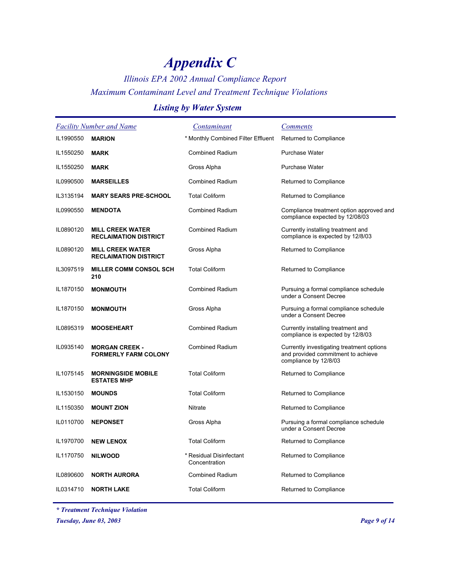## *Illinois EPA 2002 Annual Compliance Report Maximum Contaminant Level and Treatment Technique Violations*

### *Listing by Water System*

|           | <b>Facility Number and Name</b>                         | Contaminant                              | <b>Comments</b>                                                                                          |
|-----------|---------------------------------------------------------|------------------------------------------|----------------------------------------------------------------------------------------------------------|
| IL1990550 | <b>MARION</b>                                           | * Monthly Combined Filter Effluent       | Returned to Compliance                                                                                   |
| IL1550250 | <b>MARK</b>                                             | <b>Combined Radium</b>                   | <b>Purchase Water</b>                                                                                    |
| IL1550250 | <b>MARK</b>                                             | Gross Alpha                              | <b>Purchase Water</b>                                                                                    |
| IL0990500 | <b>MARSEILLES</b>                                       | Combined Radium                          | Returned to Compliance                                                                                   |
| IL3135194 | <b>MARY SEARS PRE-SCHOOL</b>                            | <b>Total Coliform</b>                    | Returned to Compliance                                                                                   |
| IL0990550 | <b>MENDOTA</b>                                          | <b>Combined Radium</b>                   | Compliance treatment option approved and<br>compliance expected by 12/08/03                              |
| IL0890120 | <b>MILL CREEK WATER</b><br><b>RECLAIMATION DISTRICT</b> | <b>Combined Radium</b>                   | Currently installing treatment and<br>compliance is expected by 12/8/03                                  |
| IL0890120 | <b>MILL CREEK WATER</b><br><b>RECLAIMATION DISTRICT</b> | Gross Alpha                              | Returned to Compliance                                                                                   |
| IL3097519 | <b>MILLER COMM CONSOL SCH</b><br>210                    | <b>Total Coliform</b>                    | Returned to Compliance                                                                                   |
| IL1870150 | <b>MONMOUTH</b>                                         | <b>Combined Radium</b>                   | Pursuing a formal compliance schedule<br>under a Consent Decree                                          |
| IL1870150 | <b>MONMOUTH</b>                                         | Gross Alpha                              | Pursuing a formal compliance schedule<br>under a Consent Decree                                          |
| IL0895319 | <b>MOOSEHEART</b>                                       | <b>Combined Radium</b>                   | Currently installing treatment and<br>compliance is expected by 12/8/03                                  |
| IL0935140 | <b>MORGAN CREEK -</b><br><b>FORMERLY FARM COLONY</b>    | <b>Combined Radium</b>                   | Currently investigating treatment options<br>and provided commitment to achieve<br>compliance by 12/8/03 |
| IL1075145 | <b>MORNINGSIDE MOBILE</b><br><b>ESTATES MHP</b>         | <b>Total Coliform</b>                    | Returned to Compliance                                                                                   |
| IL1530150 | <b>MOUNDS</b>                                           | <b>Total Coliform</b>                    | Returned to Compliance                                                                                   |
| IL1150350 | <b>MOUNT ZION</b>                                       | <b>Nitrate</b>                           | Returned to Compliance                                                                                   |
| IL0110700 | <b>NEPONSET</b>                                         | Gross Alpha                              | Pursuing a formal compliance schedule<br>under a Consent Decree                                          |
| IL1970700 | <b>NEW LENOX</b>                                        | <b>Total Coliform</b>                    | Returned to Compliance                                                                                   |
| IL1170750 | <b>NILWOOD</b>                                          | * Residual Disinfectant<br>Concentration | Returned to Compliance                                                                                   |
| IL0890600 | <b>NORTH AURORA</b>                                     | <b>Combined Radium</b>                   | Returned to Compliance                                                                                   |
| IL0314710 | <b>NORTH LAKE</b>                                       | <b>Total Coliform</b>                    | Returned to Compliance                                                                                   |

*\* Treatment Technique Violation*

*Tuesday, June 03, 2003 Page 9 of 14*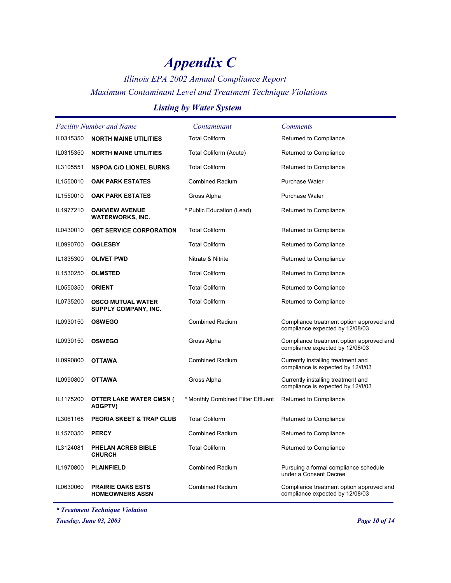## *Illinois EPA 2002 Annual Compliance Report Maximum Contaminant Level and Treatment Technique Violations*

### *Listing by Water System*

|           | <b>Facility Number and Name</b>                    | Contaminant                        | <b>Comments</b>                                                             |
|-----------|----------------------------------------------------|------------------------------------|-----------------------------------------------------------------------------|
| IL0315350 | <b>NORTH MAINE UTILITIES</b>                       | <b>Total Coliform</b>              | Returned to Compliance                                                      |
| IL0315350 | <b>NORTH MAINE UTILITIES</b>                       | Total Coliform (Acute)             | Returned to Compliance                                                      |
| IL3105551 | <b>NSPOA C/O LIONEL BURNS</b>                      | <b>Total Coliform</b>              | Returned to Compliance                                                      |
| IL1550010 | <b>OAK PARK ESTATES</b>                            | Combined Radium                    | <b>Purchase Water</b>                                                       |
| IL1550010 | <b>OAK PARK ESTATES</b>                            | Gross Alpha                        | <b>Purchase Water</b>                                                       |
| IL1977210 | <b>OAKVIEW AVENUE</b><br><b>WATERWORKS, INC.</b>   | * Public Education (Lead)          | Returned to Compliance                                                      |
| IL0430010 | <b>OBT SERVICE CORPORATION</b>                     | <b>Total Coliform</b>              | Returned to Compliance                                                      |
| IL0990700 | <b>OGLESBY</b>                                     | <b>Total Coliform</b>              | Returned to Compliance                                                      |
| IL1835300 | <b>OLIVET PWD</b>                                  | Nitrate & Nitrite                  | Returned to Compliance                                                      |
| IL1530250 | <b>OLMSTED</b>                                     | <b>Total Coliform</b>              | Returned to Compliance                                                      |
| IL0550350 | <b>ORIENT</b>                                      | <b>Total Coliform</b>              | Returned to Compliance                                                      |
| IL0735200 | <b>OSCO MUTUAL WATER</b><br>SUPPLY COMPANY, INC.   | <b>Total Coliform</b>              | Returned to Compliance                                                      |
| IL0930150 | <b>OSWEGO</b>                                      | <b>Combined Radium</b>             | Compliance treatment option approved and<br>compliance expected by 12/08/03 |
| IL0930150 | <b>OSWEGO</b>                                      | Gross Alpha                        | Compliance treatment option approved and<br>compliance expected by 12/08/03 |
| IL0990800 | <b>OTTAWA</b>                                      | <b>Combined Radium</b>             | Currently installing treatment and<br>compliance is expected by 12/8/03     |
| IL0990800 | <b>OTTAWA</b>                                      | Gross Alpha                        | Currently installing treatment and<br>compliance is expected by 12/8/03     |
| IL1175200 | <b>OTTER LAKE WATER CMSN (</b><br><b>ADGPTV)</b>   | * Monthly Combined Filter Effluent | Returned to Compliance                                                      |
| IL3061168 | PEORIA SKEET & TRAP CLUB                           | <b>Total Coliform</b>              | Returned to Compliance                                                      |
| IL1570350 | <b>PERCY</b>                                       | <b>Combined Radium</b>             | Returned to Compliance                                                      |
| IL3124081 | PHELAN ACRES BIBLE<br><b>CHURCH</b>                | <b>Total Coliform</b>              | Returned to Compliance                                                      |
| IL1970800 | <b>PLAINFIELD</b>                                  | Combined Radium                    | Pursuing a formal compliance schedule<br>under a Consent Decree             |
| IL0630060 | <b>PRAIRIE OAKS ESTS</b><br><b>HOMEOWNERS ASSN</b> | <b>Combined Radium</b>             | Compliance treatment option approved and<br>compliance expected by 12/08/03 |

*\* Treatment Technique Violation*

*Tuesday, June 03, 2003 Page 10 of 14*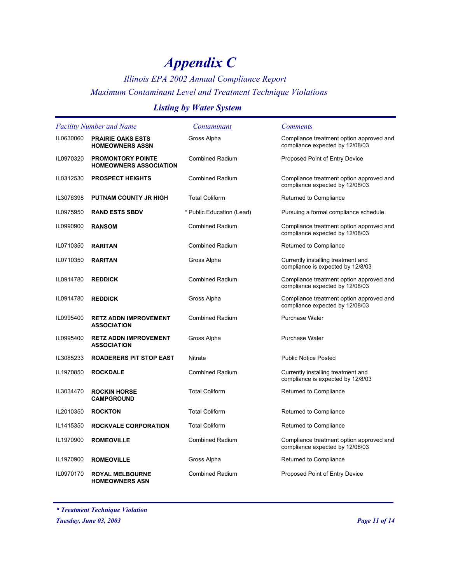### *Illinois EPA 2002 Annual Compliance Report Maximum Contaminant Level and Treatment Technique Violations*

### *Listing by Water System*

|           | <b>Facility Number and Name</b>                           | <u>Contaminant</u>        | <b>Comments</b>                                                             |
|-----------|-----------------------------------------------------------|---------------------------|-----------------------------------------------------------------------------|
| IL0630060 | <b>PRAIRIE OAKS ESTS</b><br><b>HOMEOWNERS ASSN</b>        | Gross Alpha               | Compliance treatment option approved and<br>compliance expected by 12/08/03 |
| IL0970320 | <b>PROMONTORY POINTE</b><br><b>HOMEOWNERS ASSOCIATION</b> | <b>Combined Radium</b>    | Proposed Point of Entry Device                                              |
| IL0312530 | <b>PROSPECT HEIGHTS</b>                                   | <b>Combined Radium</b>    | Compliance treatment option approved and<br>compliance expected by 12/08/03 |
| IL3076398 | <b>PUTNAM COUNTY JR HIGH</b>                              | <b>Total Coliform</b>     | Returned to Compliance                                                      |
| IL0975950 | <b>RAND ESTS SBDV</b>                                     | * Public Education (Lead) | Pursuing a formal compliance schedule                                       |
| IL0990900 | <b>RANSOM</b>                                             | <b>Combined Radium</b>    | Compliance treatment option approved and<br>compliance expected by 12/08/03 |
| IL0710350 | <b>RARITAN</b>                                            | <b>Combined Radium</b>    | Returned to Compliance                                                      |
| IL0710350 | <b>RARITAN</b>                                            | Gross Alpha               | Currently installing treatment and<br>compliance is expected by 12/8/03     |
| IL0914780 | <b>REDDICK</b>                                            | <b>Combined Radium</b>    | Compliance treatment option approved and<br>compliance expected by 12/08/03 |
| IL0914780 | <b>REDDICK</b>                                            | Gross Alpha               | Compliance treatment option approved and<br>compliance expected by 12/08/03 |
| IL0995400 | <b>RETZ ADDN IMPROVEMENT</b><br><b>ASSOCIATION</b>        | <b>Combined Radium</b>    | <b>Purchase Water</b>                                                       |
| IL0995400 | <b>RETZ ADDN IMPROVEMENT</b><br><b>ASSOCIATION</b>        | Gross Alpha               | <b>Purchase Water</b>                                                       |
| IL3085233 | <b>ROADERERS PIT STOP EAST</b>                            | Nitrate                   | <b>Public Notice Posted</b>                                                 |
| IL1970850 | <b>ROCKDALE</b>                                           | <b>Combined Radium</b>    | Currently installing treatment and<br>compliance is expected by 12/8/03     |
| IL3034470 | <b>ROCKIN HORSE</b><br><b>CAMPGROUND</b>                  | <b>Total Coliform</b>     | Returned to Compliance                                                      |
| IL2010350 | <b>ROCKTON</b>                                            | <b>Total Coliform</b>     | Returned to Compliance                                                      |
| IL1415350 | <b>ROCKVALE CORPORATION</b>                               | <b>Total Coliform</b>     | Returned to Compliance                                                      |
| IL1970900 | <b>ROMEOVILLE</b>                                         | <b>Combined Radium</b>    | Compliance treatment option approved and<br>compliance expected by 12/08/03 |
| IL1970900 | <b>ROMEOVILLE</b>                                         | Gross Alpha               | Returned to Compliance                                                      |
| IL0970170 | <b>ROYAL MELBOURNE</b><br><b>HOMEOWNERS ASN</b>           | <b>Combined Radium</b>    | Proposed Point of Entry Device                                              |

*\* Treatment Technique Violation*

*Tuesday, June 03, 2003 Page 11 of 14*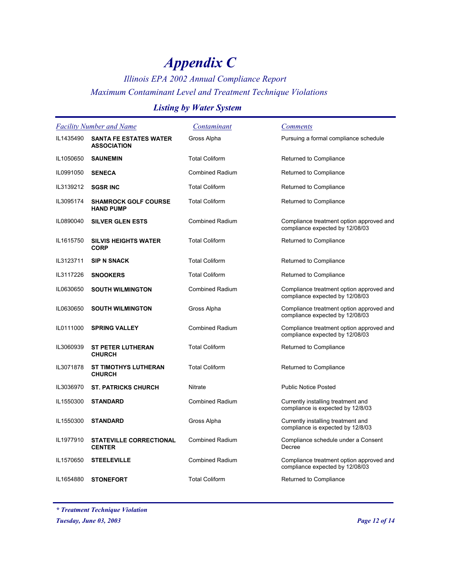## *Illinois EPA 2002 Annual Compliance Report Maximum Contaminant Level and Treatment Technique Violations*

### *Listing by Water System*

| <b>Facility Number and Name</b> |                                                     | <u>Contaminant</u>     | <b>Comments</b>                                                             |
|---------------------------------|-----------------------------------------------------|------------------------|-----------------------------------------------------------------------------|
| IL1435490                       | <b>SANTA FE ESTATES WATER</b><br><b>ASSOCIATION</b> | Gross Alpha            | Pursuing a formal compliance schedule                                       |
| IL1050650                       | <b>SAUNEMIN</b>                                     | <b>Total Coliform</b>  | Returned to Compliance                                                      |
| IL0991050                       | <b>SENECA</b>                                       | <b>Combined Radium</b> | Returned to Compliance                                                      |
| IL3139212                       | <b>SGSR INC</b>                                     | <b>Total Coliform</b>  | Returned to Compliance                                                      |
| IL3095174                       | <b>SHAMROCK GOLF COURSE</b><br><b>HAND PUMP</b>     | <b>Total Coliform</b>  | Returned to Compliance                                                      |
| IL0890040                       | <b>SILVER GLEN ESTS</b>                             | <b>Combined Radium</b> | Compliance treatment option approved and<br>compliance expected by 12/08/03 |
| IL1615750                       | <b>SILVIS HEIGHTS WATER</b><br><b>CORP</b>          | <b>Total Coliform</b>  | Returned to Compliance                                                      |
| IL3123711                       | <b>SIP N SNACK</b>                                  | <b>Total Coliform</b>  | Returned to Compliance                                                      |
| IL3117226                       | <b>SNOOKERS</b>                                     | <b>Total Coliform</b>  | Returned to Compliance                                                      |
| IL0630650                       | <b>SOUTH WILMINGTON</b>                             | <b>Combined Radium</b> | Compliance treatment option approved and<br>compliance expected by 12/08/03 |
| IL0630650                       | <b>SOUTH WILMINGTON</b>                             | Gross Alpha            | Compliance treatment option approved and<br>compliance expected by 12/08/03 |
| IL0111000                       | <b>SPRING VALLEY</b>                                | Combined Radium        | Compliance treatment option approved and<br>compliance expected by 12/08/03 |
| IL3060939                       | <b>ST PETER LUTHERAN</b><br><b>CHURCH</b>           | <b>Total Coliform</b>  | Returned to Compliance                                                      |
| IL3071878                       | <b>ST TIMOTHYS LUTHERAN</b><br><b>CHURCH</b>        | <b>Total Coliform</b>  | Returned to Compliance                                                      |
| IL3036970                       | <b>ST. PATRICKS CHURCH</b>                          | Nitrate                | <b>Public Notice Posted</b>                                                 |
| IL1550300                       | <b>STANDARD</b>                                     | <b>Combined Radium</b> | Currently installing treatment and<br>compliance is expected by 12/8/03     |
| IL1550300                       | <b>STANDARD</b>                                     | Gross Alpha            | Currently installing treatment and<br>compliance is expected by 12/8/03     |
| IL1977910                       | <b>STATEVILLE CORRECTIONAL</b><br><b>CENTER</b>     | <b>Combined Radium</b> | Compliance schedule under a Consent<br>Decree                               |
| IL1570650                       | <b>STEELEVILLE</b>                                  | <b>Combined Radium</b> | Compliance treatment option approved and<br>compliance expected by 12/08/03 |
| IL1654880                       | <b>STONEFORT</b>                                    | <b>Total Coliform</b>  | Returned to Compliance                                                      |

*\* Treatment Technique Violation*

*Tuesday, June 03, 2003 Page 12 of 14*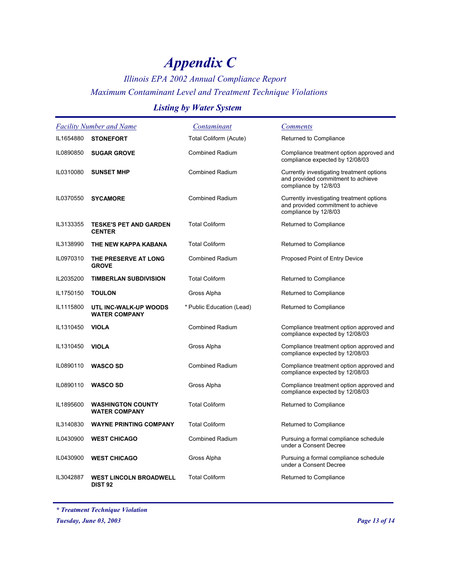## *Illinois EPA 2002 Annual Compliance Report Maximum Contaminant Level and Treatment Technique Violations*

### *Listing by Water System*

| <b>Facility Number and Name</b> |                                                  | Contaminant               | <b>Comments</b>                                                                                          |
|---------------------------------|--------------------------------------------------|---------------------------|----------------------------------------------------------------------------------------------------------|
| IL1654880                       | <b>STONEFORT</b>                                 | Total Coliform (Acute)    | Returned to Compliance                                                                                   |
| IL0890850                       | <b>SUGAR GROVE</b>                               | <b>Combined Radium</b>    | Compliance treatment option approved and<br>compliance expected by 12/08/03                              |
| IL0310080                       | <b>SUNSET MHP</b>                                | <b>Combined Radium</b>    | Currently investigating treatment options<br>and provided commitment to achieve<br>compliance by 12/8/03 |
| IL0370550                       | <b>SYCAMORE</b>                                  | <b>Combined Radium</b>    | Currently investigating treatment options<br>and provided commitment to achieve<br>compliance by 12/8/03 |
| IL3133355                       | <b>TESKE'S PET AND GARDEN</b><br><b>CENTER</b>   | <b>Total Coliform</b>     | Returned to Compliance                                                                                   |
| IL3138990                       | THE NEW KAPPA KABANA                             | <b>Total Coliform</b>     | Returned to Compliance                                                                                   |
| IL0970310                       | THE PRESERVE AT LONG<br><b>GROVE</b>             | <b>Combined Radium</b>    | Proposed Point of Entry Device                                                                           |
| IL2035200                       | <b>TIMBERLAN SUBDIVISION</b>                     | <b>Total Coliform</b>     | Returned to Compliance                                                                                   |
| IL1750150                       | <b>TOULON</b>                                    | Gross Alpha               | Returned to Compliance                                                                                   |
| IL1115800                       | UTL INC-WALK-UP WOODS<br><b>WATER COMPANY</b>    | * Public Education (Lead) | Returned to Compliance                                                                                   |
| IL1310450                       | <b>VIOLA</b>                                     | <b>Combined Radium</b>    | Compliance treatment option approved and<br>compliance expected by 12/08/03                              |
| IL1310450                       | <b>VIOLA</b>                                     | Gross Alpha               | Compliance treatment option approved and<br>compliance expected by 12/08/03                              |
| IL0890110                       | <b>WASCO SD</b>                                  | <b>Combined Radium</b>    | Compliance treatment option approved and<br>compliance expected by 12/08/03                              |
| IL0890110                       | <b>WASCO SD</b>                                  | Gross Alpha               | Compliance treatment option approved and<br>compliance expected by 12/08/03                              |
| IL1895600                       | <b>WASHINGTON COUNTY</b><br><b>WATER COMPANY</b> | <b>Total Coliform</b>     | Returned to Compliance                                                                                   |
| IL3140830                       | <b>WAYNE PRINTING COMPANY</b>                    | <b>Total Coliform</b>     | Returned to Compliance                                                                                   |
| IL0430900                       | <b>WEST CHICAGO</b>                              | <b>Combined Radium</b>    | Pursuing a formal compliance schedule<br>under a Consent Decree                                          |
| IL0430900                       | <b>WEST CHICAGO</b>                              | Gross Alpha               | Pursuing a formal compliance schedule<br>under a Consent Decree                                          |
| IL3042887                       | <b>WEST LINCOLN BROADWELL</b><br><b>DIST 92</b>  | <b>Total Coliform</b>     | Returned to Compliance                                                                                   |

*\* Treatment Technique Violation*

*Tuesday, June 03, 2003 Page 13 of 14*